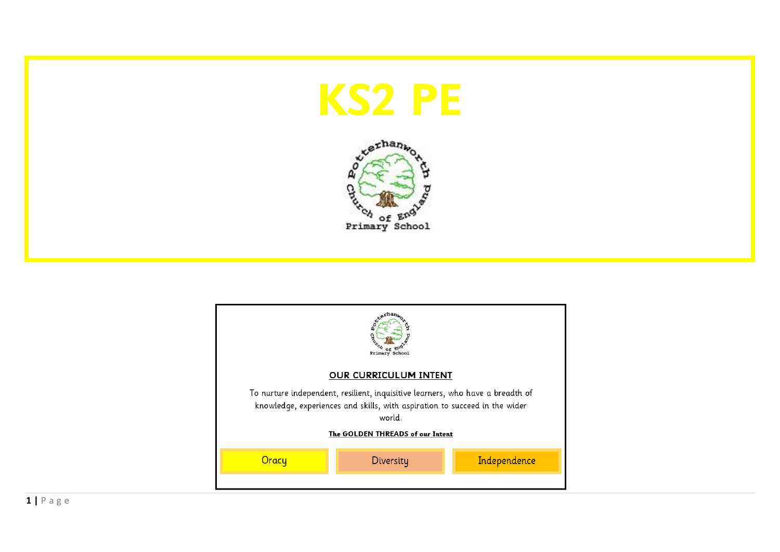





**1 |** P a g e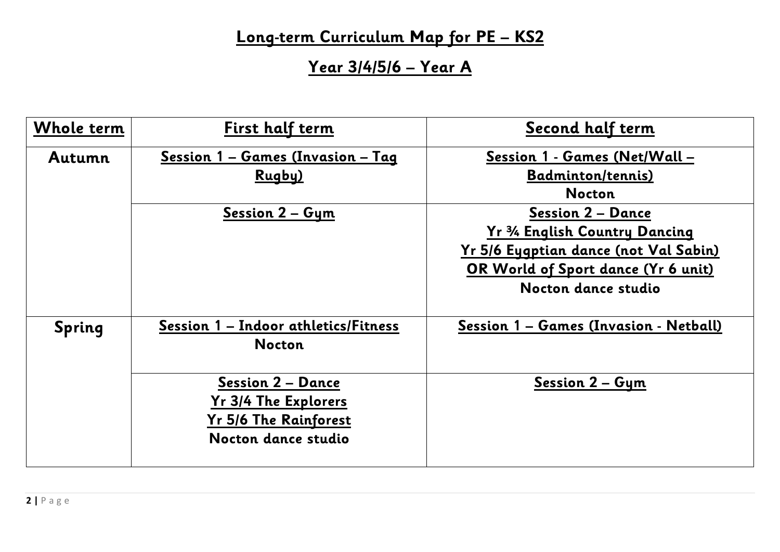## **Long-term Curriculum Map for PE – KS2**

**Year 3/4/5/6 – Year A**

| <b>Whole term</b> | First half term                                                                                                                                                  | Second half term                                                                                                                                                                                                                                       |
|-------------------|------------------------------------------------------------------------------------------------------------------------------------------------------------------|--------------------------------------------------------------------------------------------------------------------------------------------------------------------------------------------------------------------------------------------------------|
| Autumn            | Session 1 - Games (Invasion - Tag<br>Rugby)<br><u>Session 2 - Gym</u>                                                                                            | Session 1 - Games (Net/Wall -<br><b>Badminton/tennis)</b><br><b>Nocton</b><br><b>Session 2 - Dance</b><br>Yr 3/4 English Country Dancing<br><u>Yr 5/6 Eygptian dance (not Val Sabin)</u><br>OR World of Sport dance (Yr 6 unit)<br>Nocton dance studio |
| <b>Spring</b>     | Session 1 - Indoor athletics/Fitness<br><b>Nocton</b><br><b>Session 2 – Dance</b><br><b>Yr 3/4 The Explorers</b><br>Yr 5/6 The Rainforest<br>Nocton dance studio | Session 1 - Games (Invasion - Netball)<br>Session 2 - Gym                                                                                                                                                                                              |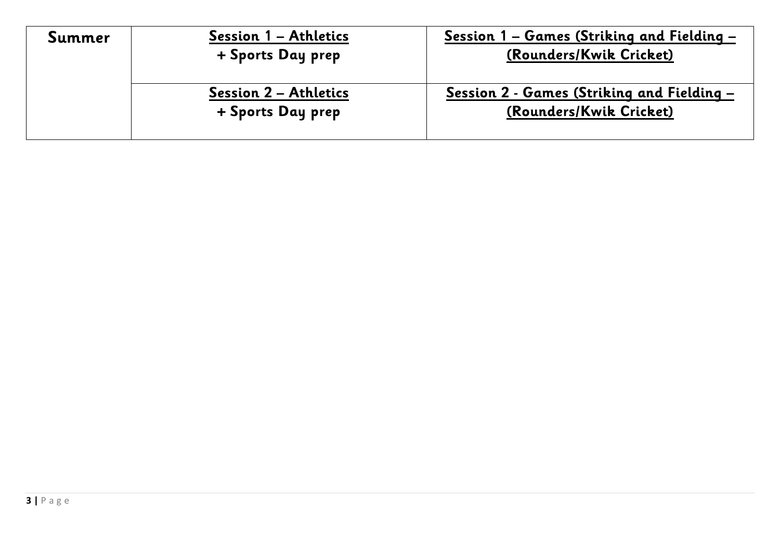| Summer | Session 1 – Athletics<br>+ Sports Day prep        | <u> Session 1 – Games (Striking and Fielding –</u><br>(Rounders/Kwik Cricket) |
|--------|---------------------------------------------------|-------------------------------------------------------------------------------|
|        | <b>Session 2 – Athletics</b><br>+ Sports Day prep | Session 2 - Games (Striking and Fielding –<br>(Rounders/Kwik Cricket)         |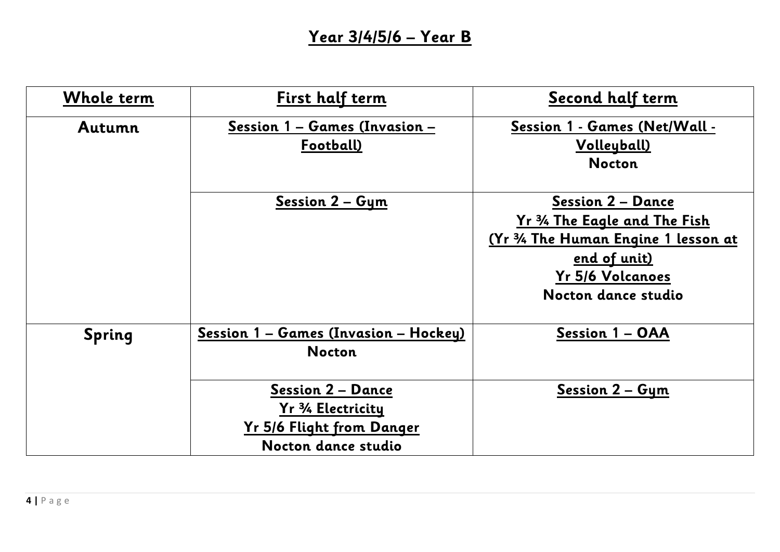## **Year 3/4/5/6 – Year B**

| <b>Whole term</b> | First half term                                                                                    | Second half term                                                                                                                                                   |
|-------------------|----------------------------------------------------------------------------------------------------|--------------------------------------------------------------------------------------------------------------------------------------------------------------------|
| Autumn            | Session 1 - Games (Invasion -<br>Football)                                                         | Session 1 - Games (Net/Wall -<br>Volleyball)<br><b>Nocton</b>                                                                                                      |
|                   | Session 2 - Gym                                                                                    | <b>Session 2 - Dance</b><br>Yr 34 The Eagle and The Fish<br>(Yr 3/4 The Human Engine 1 lesson at<br><u>end of unit)</u><br>Yr 5/6 Volcanoes<br>Nocton dance studio |
| <b>Spring</b>     | Session 1 - Games (Invasion - Hockey)<br><b>Nocton</b>                                             | Session 1 - OAA                                                                                                                                                    |
|                   | <b>Session 2 - Dance</b><br>Yr 3/4 Electricity<br>Yr 5/6 Flight from Danger<br>Nocton dance studio | <u>Session 2 - Gym</u>                                                                                                                                             |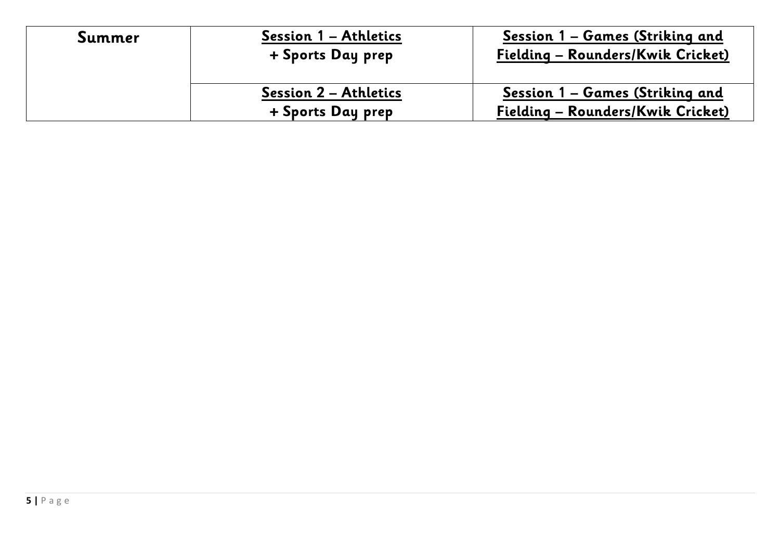| Summer | Session 1 – Athletics<br>+ Sports Day prep        | <u> Session 1 – Games (Striking and</u><br>Fielding - Rounders/Kwik Cricket) |
|--------|---------------------------------------------------|------------------------------------------------------------------------------|
|        | <b>Session 2 – Athletics</b><br>+ Sports Day prep | Session 1 – Games (Striking and<br>Fielding - Rounders/Kwik Cricket)         |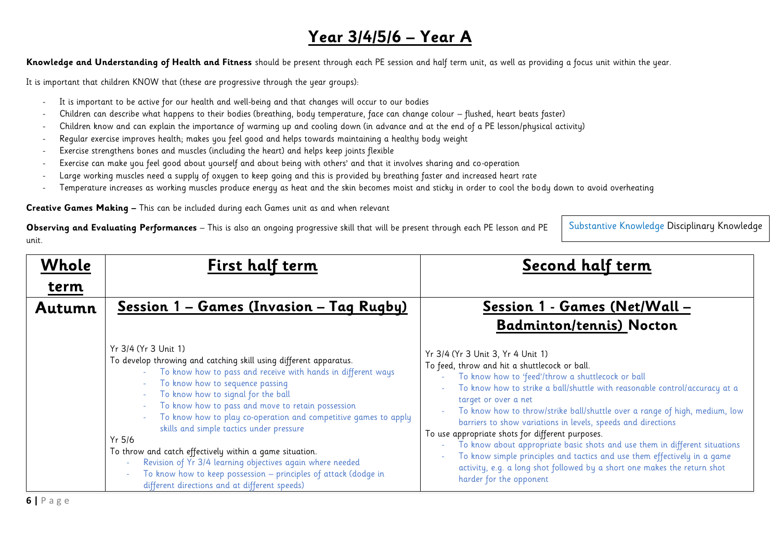## **Year 3/4/5/6 – Year A**

**Knowledge and Understanding of Health and Fitness** should be present through each PE session and half term unit, as well as providing a focus unit within the year.

It is important that children KNOW that (these are progressive through the year groups):

- It is important to be active for our health and well-being and that changes will occur to our bodies
- Children can describe what happens to their bodies (breathing, body temperature, face can change colour flushed, heart beats faster)
- Children know and can explain the importance of warming up and cooling down (in advance and at the end of a PE lesson/physical activity)
- Regular exercise improves health; makes you feel good and helps towards maintaining a healthy body weight
- Exercise strengthens bones and muscles (including the heart) and helps keep joints flexible
- Exercise can make you feel good about yourself and about being with others' and that it involves sharing and co-operation
- Large working muscles need a supply of oxygen to keep going and this is provided by breathing faster and increased heart rate
- Temperature increases as working muscles produce energy as heat and the skin becomes moist and sticky in order to cool the body down to avoid overheating

**Creative Games Making –** This can be included during each Games unit as and when relevant

**Observing and Evaluating Performances** – This is also an ongoing progressive skill that will be present through each PE lesson and PE unit.

Substantive Knowledge Disciplinary Knowledge

| Whole<br><u>term</u> | First half term                                                                                                                                                                                                                                                                                                                                                                                                                                                                                                                                                                                                                                                | Second half term                                                                                                                                                                                                                                                                                                                                                                                                                                                                                                                                                                                                                                                                                                             |
|----------------------|----------------------------------------------------------------------------------------------------------------------------------------------------------------------------------------------------------------------------------------------------------------------------------------------------------------------------------------------------------------------------------------------------------------------------------------------------------------------------------------------------------------------------------------------------------------------------------------------------------------------------------------------------------------|------------------------------------------------------------------------------------------------------------------------------------------------------------------------------------------------------------------------------------------------------------------------------------------------------------------------------------------------------------------------------------------------------------------------------------------------------------------------------------------------------------------------------------------------------------------------------------------------------------------------------------------------------------------------------------------------------------------------------|
| Autumn               | <u> Session 1 - Games (Invasion - Tag Rugby)</u>                                                                                                                                                                                                                                                                                                                                                                                                                                                                                                                                                                                                               | Session 1 - Games (Net/Wall -<br><b>Badminton/tennis) Nocton</b>                                                                                                                                                                                                                                                                                                                                                                                                                                                                                                                                                                                                                                                             |
|                      | Yr 3/4 (Yr 3 Unit 1)<br>To develop throwing and catching skill using different apparatus.<br>To know how to pass and receive with hands in different ways<br>To know how to sequence passing<br>To know how to signal for the ball<br>To know how to pass and move to retain possession<br>To know how to play co-operation and competitive games to apply<br>skills and simple tactics under pressure<br>$Yr$ 5/6<br>To throw and catch effectively within a game situation.<br>Revision of Yr 3/4 learning objectives again where needed<br>To know how to keep possession - principles of attack (dodge in<br>different directions and at different speeds) | Yr 3/4 (Yr 3 Unit 3, Yr 4 Unit 1)<br>To feed, throw and hit a shuttlecock or ball.<br>- To know how to 'feed'/throw a shuttlecock or ball<br>To know how to strike a ball/shuttle with reasonable control/accuracy at a<br>target or over a net<br>To know how to throw/strike ball/shuttle over a range of high, medium, low<br>barriers to show variations in levels, speeds and directions<br>To use appropriate shots for different purposes.<br>To know about appropriate basic shots and use them in different situations<br>$\sim$<br>To know simple principles and tactics and use them effectively in a game<br>activity, e.g. a long shot followed by a short one makes the return shot<br>harder for the opponent |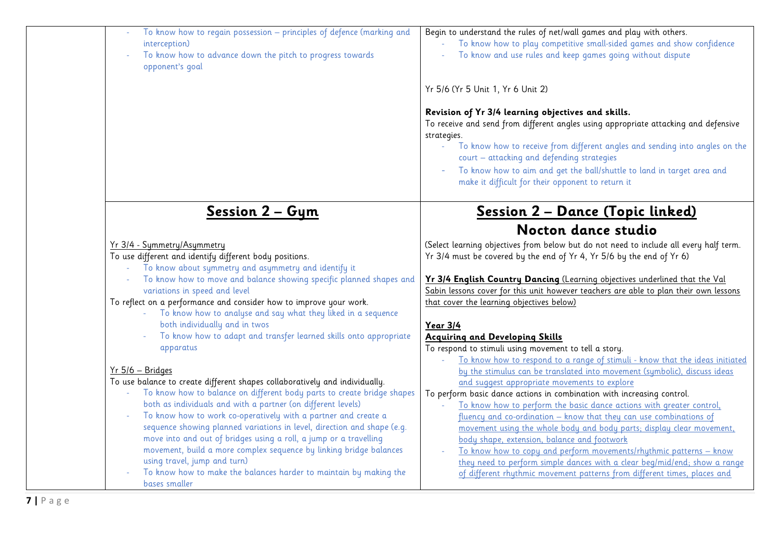| To know how to regain possession - principles of defence (marking and<br>interception)<br>To know how to advance down the pitch to progress towards<br>opponent's goal | Begin to understand the rules of net/wall games and play with others.<br>To know how to play competitive small-sided games and show confidence<br>To know and use rules and keep games going without dispute                                                                                                                                                                                                         |
|------------------------------------------------------------------------------------------------------------------------------------------------------------------------|----------------------------------------------------------------------------------------------------------------------------------------------------------------------------------------------------------------------------------------------------------------------------------------------------------------------------------------------------------------------------------------------------------------------|
|                                                                                                                                                                        | Yr 5/6 (Yr 5 Unit 1, Yr 6 Unit 2)                                                                                                                                                                                                                                                                                                                                                                                    |
|                                                                                                                                                                        | Revision of Yr 3/4 learning objectives and skills.<br>To receive and send from different angles using appropriate attacking and defensive<br>strategies.<br>To know how to receive from different angles and sending into angles on the<br>court - attacking and defending strategies<br>To know how to aim and get the ball/shuttle to land in target area and<br>make it difficult for their opponent to return it |
| Session 2 - Gym                                                                                                                                                        | <u> Session 2 – Dance (Topic linked)</u>                                                                                                                                                                                                                                                                                                                                                                             |
|                                                                                                                                                                        | Nocton dance studio                                                                                                                                                                                                                                                                                                                                                                                                  |
| Yr 3/4 - Symmetry/Asymmetry                                                                                                                                            | (Select learning objectives from below but do not need to include all every half term.                                                                                                                                                                                                                                                                                                                               |
| To use different and identify different body positions.                                                                                                                | Yr 3/4 must be covered by the end of Yr 4, Yr 5/6 by the end of Yr 6)                                                                                                                                                                                                                                                                                                                                                |
| To know about symmetry and asymmetry and identify it<br>To know how to move and balance showing specific planned shapes and<br>variations in speed and level           | Yr 3/4 English Country Dancing (Learning objectives underlined that the Val<br>Sabin lessons cover for this unit however teachers are able to plan their own lessons                                                                                                                                                                                                                                                 |
| To reflect on a performance and consider how to improve your work.                                                                                                     | that cover the learning objectives below)                                                                                                                                                                                                                                                                                                                                                                            |
| To know how to analyse and say what they liked in a sequence                                                                                                           |                                                                                                                                                                                                                                                                                                                                                                                                                      |
| both individually and in twos                                                                                                                                          | Year 3/4                                                                                                                                                                                                                                                                                                                                                                                                             |
| To know how to adapt and transfer learned skills onto appropriate                                                                                                      | <b>Acquiring and Developing Skills</b>                                                                                                                                                                                                                                                                                                                                                                               |
| apparatus                                                                                                                                                              | To respond to stimuli using movement to tell a story.<br>To know how to respond to a range of stimuli - know that the ideas initiated                                                                                                                                                                                                                                                                                |
| $Yr 5/6 - Bridges$                                                                                                                                                     | by the stimulus can be translated into movement (symbolic), discuss ideas                                                                                                                                                                                                                                                                                                                                            |
| To use balance to create different shapes collaboratively and individually.                                                                                            | and suggest appropriate movements to explore                                                                                                                                                                                                                                                                                                                                                                         |
| To know how to balance on different body parts to create bridge shapes                                                                                                 | To perform basic dance actions in combination with increasing control.                                                                                                                                                                                                                                                                                                                                               |
| both as individuals and with a partner (on different levels)                                                                                                           | To know how to perform the basic dance actions with greater control,                                                                                                                                                                                                                                                                                                                                                 |
| To know how to work co-operatively with a partner and create a                                                                                                         | fluency and co-ordination - know that they can use combinations of                                                                                                                                                                                                                                                                                                                                                   |
| sequence showing planned variations in level, direction and shape (e.g.<br>move into and out of bridges using a roll, a jump or a travelling                           | movement using the whole body and body parts; display clear movement,                                                                                                                                                                                                                                                                                                                                                |
| movement, build a more complex sequence by linking bridge balances                                                                                                     | body shape, extension, balance and footwork<br>To know how to copy and perform movements/rhythmic patterns - know                                                                                                                                                                                                                                                                                                    |
| using travel, jump and turn)                                                                                                                                           | they need to perform simple dances with a clear beg/mid/end; show a range                                                                                                                                                                                                                                                                                                                                            |
| To know how to make the balances harder to maintain by making the<br>bases smaller                                                                                     | of different rhythmic movement patterns from different times, places and                                                                                                                                                                                                                                                                                                                                             |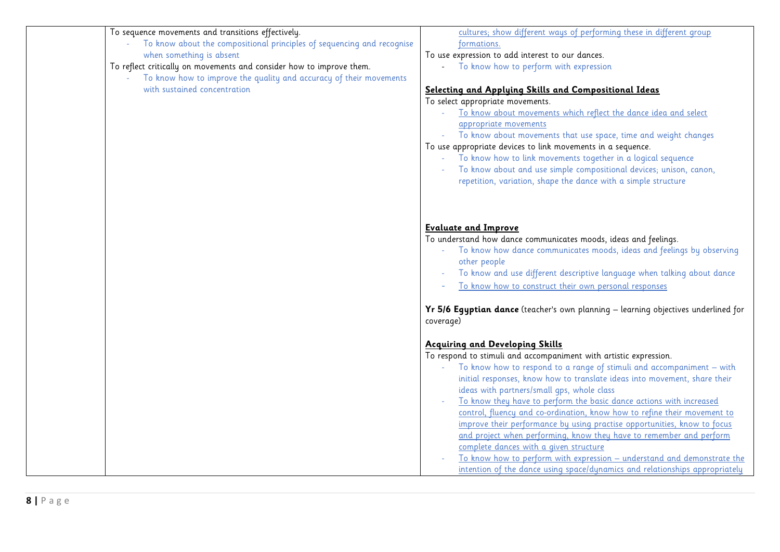| To sequence movements and transitions effectively.                     | cultures; show different ways of performing these in different group               |
|------------------------------------------------------------------------|------------------------------------------------------------------------------------|
| To know about the compositional principles of sequencing and recognise | formations.                                                                        |
| when something is absent                                               | To use expression to add interest to our dances.                                   |
| To reflect critically on movements and consider how to improve them.   | To know how to perform with expression                                             |
| To know how to improve the quality and accuracy of their movements     |                                                                                    |
| with sustained concentration                                           | Selecting and Applying Skills and Compositional Ideas                              |
|                                                                        | To select appropriate movements.                                                   |
|                                                                        | To know about movements which reflect the dance idea and select                    |
|                                                                        | appropriate movements                                                              |
|                                                                        | To know about movements that use space, time and weight changes                    |
|                                                                        | To use appropriate devices to link movements in a sequence.                        |
|                                                                        | To know how to link movements together in a logical sequence                       |
|                                                                        | To know about and use simple compositional devices; unison, canon,                 |
|                                                                        | repetition, variation, shape the dance with a simple structure                     |
|                                                                        |                                                                                    |
|                                                                        |                                                                                    |
|                                                                        | <b>Evaluate and Improve</b>                                                        |
|                                                                        | To understand how dance communicates moods, ideas and feelings.                    |
|                                                                        | To know how dance communicates moods, ideas and feelings by observing              |
|                                                                        | other people                                                                       |
|                                                                        | To know and use different descriptive language when talking about dance            |
|                                                                        | To know how to construct their own personal responses                              |
|                                                                        |                                                                                    |
|                                                                        | Yr 5/6 Egyptian dance (teacher's own planning - learning objectives underlined for |
|                                                                        | coverage)                                                                          |
|                                                                        | <b>Acquiring and Developing Skills</b>                                             |
|                                                                        | To respond to stimuli and accompaniment with artistic expression.                  |
|                                                                        | To know how to respond to a range of stimuli and accompaniment - with              |
|                                                                        | initial responses, know how to translate ideas into movement, share their          |
|                                                                        | ideas with partners/small gps, whole class                                         |
|                                                                        | To know they have to perform the basic dance actions with increased                |
|                                                                        | control, fluency and co-ordination, know how to refine their movement to           |
|                                                                        | improve their performance by using practise opportunities, know to focus           |
|                                                                        | and project when performing, know they have to remember and perform                |
|                                                                        | complete dances with a given structure                                             |
|                                                                        | To know how to perform with expression - understand and demonstrate the            |
|                                                                        | intention of the dance using space/dynamics and relationships appropriately        |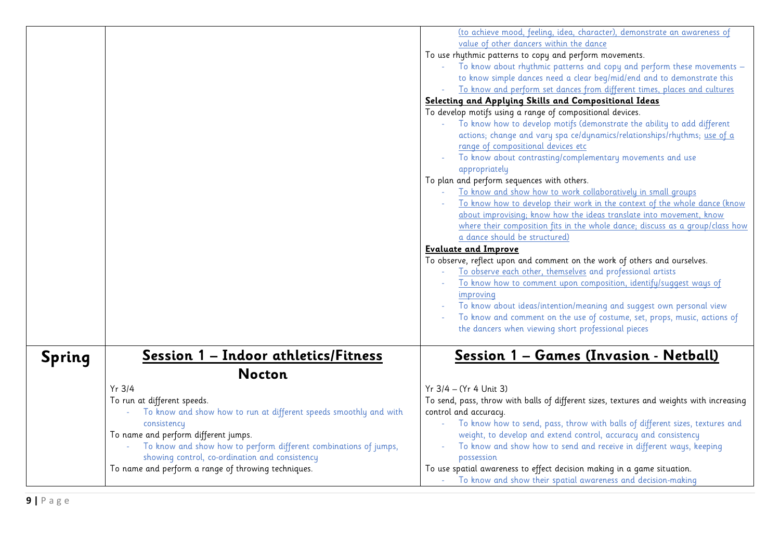|        |                                                                            | (to achieve mood, feeling, idea, character), demonstrate an awareness of                 |
|--------|----------------------------------------------------------------------------|------------------------------------------------------------------------------------------|
|        |                                                                            | value of other dancers within the dance                                                  |
|        |                                                                            | To use rhythmic patterns to copy and perform movements.                                  |
|        |                                                                            | To know about rhythmic patterns and copy and perform these movements -                   |
|        |                                                                            | to know simple dances need a clear beg/mid/end and to demonstrate this                   |
|        |                                                                            | To know and perform set dances from different times, places and cultures                 |
|        |                                                                            | Selecting and Applying Skills and Compositional Ideas                                    |
|        |                                                                            | To develop motifs using a range of compositional devices.                                |
|        |                                                                            | To know how to develop motifs (demonstrate the ability to add different                  |
|        |                                                                            | actions; change and vary spa ce/dynamics/relationships/rhythms; use of a                 |
|        |                                                                            | range of compositional devices etc                                                       |
|        |                                                                            | To know about contrasting/complementary movements and use                                |
|        |                                                                            | appropriately                                                                            |
|        |                                                                            | To plan and perform sequences with others.                                               |
|        |                                                                            | To know and show how to work collaboratively in small groups                             |
|        |                                                                            | To know how to develop their work in the context of the whole dance (know                |
|        |                                                                            |                                                                                          |
|        |                                                                            | about improvising; know how the ideas translate into movement, know                      |
|        |                                                                            | where their composition fits in the whole dance; discuss as a group/class how            |
|        |                                                                            | a dance should be structured)                                                            |
|        |                                                                            | <b>Evaluate and Improve</b>                                                              |
|        |                                                                            | To observe, reflect upon and comment on the work of others and ourselves.                |
|        |                                                                            | To observe each other, themselves and professional artists                               |
|        |                                                                            | To know how to comment upon composition, identify/suggest ways of                        |
|        |                                                                            | improving                                                                                |
|        |                                                                            | To know about ideas/intention/meaning and suggest own personal view                      |
|        |                                                                            | To know and comment on the use of costume, set, props, music, actions of                 |
|        |                                                                            | the dancers when viewing short professional pieces                                       |
|        |                                                                            |                                                                                          |
|        | Session 1 - Indoor athletics/Fitness                                       | Session 1 - Games (Invasion - Netball)                                                   |
| Spring |                                                                            |                                                                                          |
|        | <b>Nocton</b>                                                              |                                                                                          |
|        | Yr 3/4                                                                     | Yr 3/4 - (Yr 4 Unit 3)                                                                   |
|        | To run at different speeds.                                                | To send, pass, throw with balls of different sizes, textures and weights with increasing |
|        | To know and show how to run at different speeds smoothly and with          | control and accuracy.                                                                    |
|        | consistency                                                                | To know how to send, pass, throw with balls of different sizes, textures and             |
|        | To name and perform different jumps.                                       | weight, to develop and extend control, accuracy and consistency                          |
|        | To know and show how to perform different combinations of jumps,<br>$\sim$ | To know and show how to send and receive in different ways, keeping                      |
|        |                                                                            |                                                                                          |
|        | showing control, co-ordination and consistency                             | possession                                                                               |
|        | To name and perform a range of throwing techniques.                        | To use spatial awareness to effect decision making in a game situation.                  |
|        |                                                                            | - To know and show their spatial awareness and decision-making                           |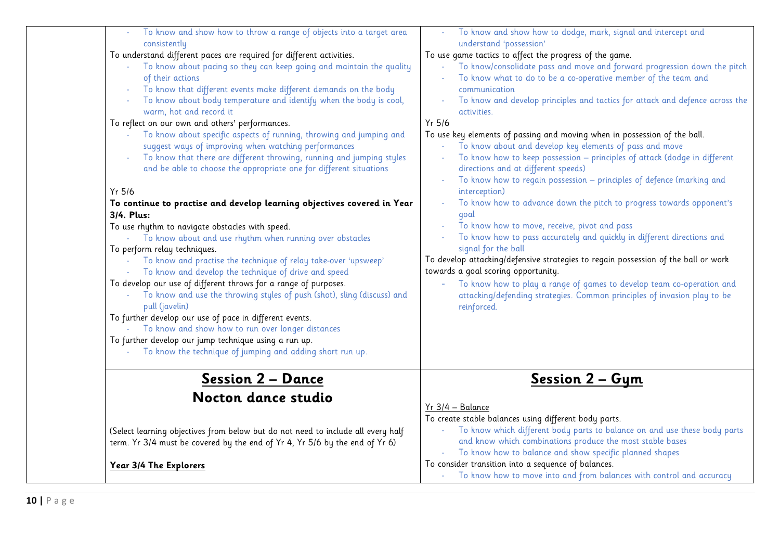| To know and show how to throw a range of objects into a target area              | To know and show how to dodge, mark, signal and intercept and                      |
|----------------------------------------------------------------------------------|------------------------------------------------------------------------------------|
| consistently                                                                     | understand 'possession'                                                            |
| To understand different paces are required for different activities.             | To use game tactics to affect the progress of the game.                            |
| To know about pacing so they can keep going and maintain the quality             | To know/consolidate pass and move and forward progression down the pitch           |
| of their actions                                                                 | To know what to do to be a co-operative member of the team and                     |
| To know that different events make different demands on the body                 | communication                                                                      |
| To know about body temperature and identify when the body is cool,               | To know and develop principles and tactics for attack and defence across the       |
| warm, hot and record it                                                          | activities.                                                                        |
| To reflect on our own and others' performances.                                  | Yr 5/6                                                                             |
| To know about specific aspects of running, throwing and jumping and              | To use key elements of passing and moving when in possession of the ball.          |
| suggest ways of improving when watching performances                             | To know about and develop key elements of pass and move                            |
| To know that there are different throwing, running and jumping styles            | To know how to keep possession - principles of attack (dodge in different          |
| and be able to choose the appropriate one for different situations               | directions and at different speeds)                                                |
|                                                                                  | To know how to regain possession - principles of defence (marking and              |
| Yr 5/6                                                                           | interception)                                                                      |
| To continue to practise and develop learning objectives covered in Year          | To know how to advance down the pitch to progress towards opponent's               |
| 3/4. Plus:                                                                       | goal                                                                               |
| To use rhythm to navigate obstacles with speed.                                  | To know how to move, receive, pivot and pass                                       |
| - To know about and use rhythm when running over obstacles                       | To know how to pass accurately and quickly in different directions and             |
| To perform relay techniques.                                                     | signal for the ball                                                                |
| To know and practise the technique of relay take-over 'upsweep'                  | To develop attacking/defensive strategies to regain possession of the ball or work |
| To know and develop the technique of drive and speed                             | towards a goal scoring opportunity.                                                |
| To develop our use of different throws for a range of purposes.                  | To know how to play a range of games to develop team co-operation and              |
| To know and use the throwing styles of push (shot), sling (discuss) and          | attacking/defending strategies. Common principles of invasion play to be           |
| pull (javelin)                                                                   | reinforced.                                                                        |
| To further develop our use of pace in different events.                          |                                                                                    |
| To know and show how to run over longer distances                                |                                                                                    |
| To further develop our jump technique using a run up.                            |                                                                                    |
| To know the technique of jumping and adding short run up.                        |                                                                                    |
|                                                                                  |                                                                                    |
| <u> Session 2 – Dance</u>                                                        | <u>Session 2 - Gym</u>                                                             |
| Nocton dance studio                                                              |                                                                                    |
|                                                                                  | Yr 3/4 - Balance                                                                   |
|                                                                                  | To create stable balances using different body parts.                              |
| (Select learning objectives from below but do not need to include all every half | To know which different body parts to balance on and use these body parts          |
| term. Yr 3/4 must be covered by the end of Yr 4, Yr 5/6 by the end of Yr 6)      | and know which combinations produce the most stable bases                          |
|                                                                                  | To know how to balance and show specific planned shapes                            |
| Year 3/4 The Explorers                                                           | To consider transition into a sequence of balances.                                |
|                                                                                  | - To know how to move into and from balances with control and accuracy             |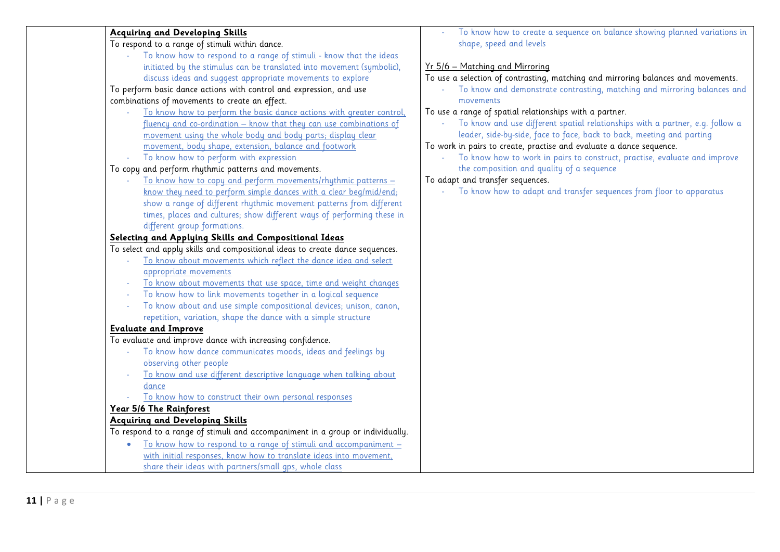| <b>Acquiring and Developing Skills</b>                                         | To know how to create a sequence on balance showing planned variations in         |
|--------------------------------------------------------------------------------|-----------------------------------------------------------------------------------|
| To respond to a range of stimuli within dance.                                 | shape, speed and levels                                                           |
| To know how to respond to a range of stimuli - know that the ideas             |                                                                                   |
| initiated by the stimulus can be translated into movement (symbolic),          | Yr 5/6 - Matching and Mirroring                                                   |
| discuss ideas and suggest appropriate movements to explore                     | To use a selection of contrasting, matching and mirroring balances and movements. |
| To perform basic dance actions with control and expression, and use            | To know and demonstrate contrasting, matching and mirroring balances and          |
| combinations of movements to create an effect.                                 | movements                                                                         |
| To know how to perform the basic dance actions with greater control,           | To use a range of spatial relationships with a partner.                           |
| fluency and co-ordination - know that they can use combinations of             | To know and use different spatial relationships with a partner, e.g. follow a     |
| movement using the whole body and body parts; display clear                    | leader, side-by-side, face to face, back to back, meeting and parting             |
| movement, body shape, extension, balance and footwork                          | To work in pairs to create, practise and evaluate a dance sequence.               |
| To know how to perform with expression                                         | To know how to work in pairs to construct, practise, evaluate and improve         |
| To copy and perform rhythmic patterns and movements.                           | the composition and quality of a sequence                                         |
| To know how to copy and perform movements/rhythmic patterns -                  | To adapt and transfer sequences.                                                  |
| know they need to perform simple dances with a clear beg/mid/end;              | - To know how to adapt and transfer sequences from floor to apparatus             |
| show a range of different rhythmic movement patterns from different            |                                                                                   |
| times, places and cultures; show different ways of performing these in         |                                                                                   |
| different group formations.                                                    |                                                                                   |
| Selecting and Applying Skills and Compositional Ideas                          |                                                                                   |
| To select and apply skills and compositional ideas to create dance sequences.  |                                                                                   |
| To know about movements which reflect the dance idea and select                |                                                                                   |
| appropriate movements                                                          |                                                                                   |
| To know about movements that use space, time and weight changes                |                                                                                   |
| To know how to link movements together in a logical sequence                   |                                                                                   |
| To know about and use simple compositional devices; unison, canon,             |                                                                                   |
| repetition, variation, shape the dance with a simple structure                 |                                                                                   |
| <b>Evaluate and Improve</b>                                                    |                                                                                   |
| To evaluate and improve dance with increasing confidence.                      |                                                                                   |
| To know how dance communicates moods, ideas and feelings by                    |                                                                                   |
| observing other people                                                         |                                                                                   |
| To know and use different descriptive language when talking about              |                                                                                   |
| dance                                                                          |                                                                                   |
| To know how to construct their own personal responses                          |                                                                                   |
| Year 5/6 The Rainforest                                                        |                                                                                   |
| <b>Acquiring and Developing Skills</b>                                         |                                                                                   |
| To respond to a range of stimuli and accompaniment in a group or individually. |                                                                                   |
| To know how to respond to a range of stimuli and accompaniment -<br>$\bullet$  |                                                                                   |
| with initial responses, know how to translate ideas into movement,             |                                                                                   |
| share their ideas with partners/small aps, whole class                         |                                                                                   |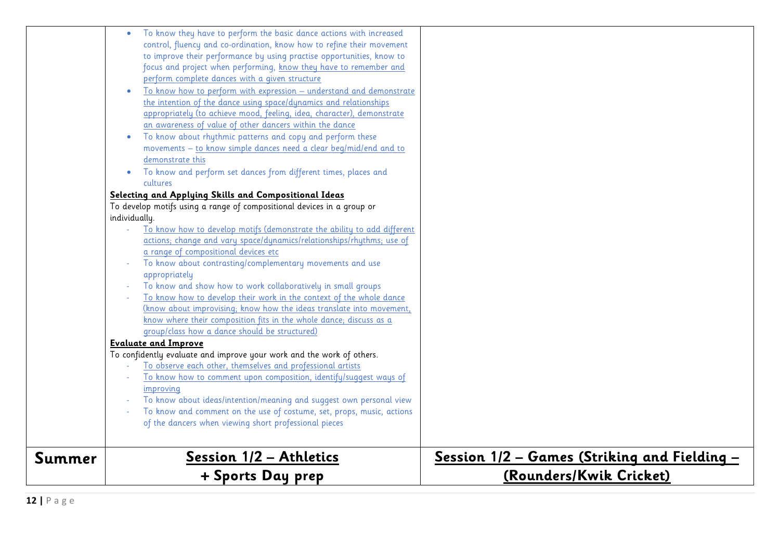|        | + Sports Day prep                                                                                                                          | (Rounders/Kwik Cricket)                               |
|--------|--------------------------------------------------------------------------------------------------------------------------------------------|-------------------------------------------------------|
| Summer | <u> Session 1/2 - Athletics</u>                                                                                                            | <u> Session 1/2 – Games (Striking and Fielding – </u> |
|        | of the dancers when viewing short professional pieces                                                                                      |                                                       |
|        | To know and comment on the use of costume, set, props, music, actions<br>$\overline{\phantom{a}}$                                          |                                                       |
|        | To know about ideas/intention/meaning and suggest own personal view                                                                        |                                                       |
|        | improving                                                                                                                                  |                                                       |
|        | To know how to comment upon composition, identify/suggest ways of                                                                          |                                                       |
|        | To observe each other, themselves and professional artists                                                                                 |                                                       |
|        | To confidently evaluate and improve your work and the work of others.                                                                      |                                                       |
|        | <b>Evaluate and Improve</b>                                                                                                                |                                                       |
|        | group/class how a dance should be structured)                                                                                              |                                                       |
|        | (know about improvising; know how the ideas translate into movement,<br>know where their composition fits in the whole dance; discuss as a |                                                       |
|        | To know how to develop their work in the context of the whole dance                                                                        |                                                       |
|        | To know and show how to work collaboratively in small groups                                                                               |                                                       |
|        | appropriately                                                                                                                              |                                                       |
|        | To know about contrasting/complementary movements and use<br>$\bar{\phantom{a}}$                                                           |                                                       |
|        | a range of compositional devices etc                                                                                                       |                                                       |
|        | actions; change and vary space/dynamics/relationships/rhythms; use of                                                                      |                                                       |
|        | To know how to develop motifs (demonstrate the ability to add different                                                                    |                                                       |
|        | individually.                                                                                                                              |                                                       |
|        | To develop motifs using a range of compositional devices in a group or                                                                     |                                                       |
|        | Selecting and Applying Skills and Compositional Ideas                                                                                      |                                                       |
|        | cultures                                                                                                                                   |                                                       |
|        | To know and perform set dances from different times, places and<br>$\bullet$                                                               |                                                       |
|        | movements - to know simple dances need a clear beg/mid/end and to<br>demonstrate this                                                      |                                                       |
|        | To know about rhythmic patterns and copy and perform these<br>$\bullet$                                                                    |                                                       |
|        | an awareness of value of other dancers within the dance                                                                                    |                                                       |
|        | appropriately (to achieve mood, feeling, idea, character), demonstrate                                                                     |                                                       |
|        | the intention of the dance using space/dynamics and relationships                                                                          |                                                       |
|        | To know how to perform with expression – understand and demonstrate                                                                        |                                                       |
|        | perform complete dances with a given structure                                                                                             |                                                       |
|        | focus and project when performing, know they have to remember and                                                                          |                                                       |
|        | to improve their performance by using practise opportunities, know to                                                                      |                                                       |
|        | control, fluency and co-ordination, know how to refine their movement                                                                      |                                                       |
|        | To know they have to perform the basic dance actions with increased                                                                        |                                                       |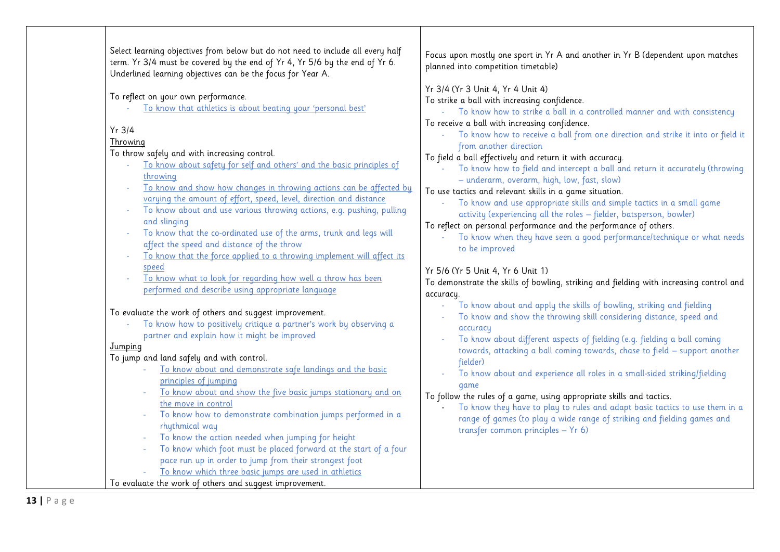| Select learning objectives from below but do not need to include all every half<br>term. Yr 3/4 must be covered by the end of Yr 4, Yr 5/6 by the end of Yr 6.<br>Underlined learning objectives can be the focus for Year A.                                                                                                                                                                                                                                                                                                                                                                                                                                                                        | Focus upon mostly one sport in Yr A and another in Yr B (dependent upon matches<br>planned into competition timetable)                                                                                                                                                                                                                                                                                                                                                                                                                                                                                                                                                                                                                                                                                                                                                                                                                   |
|------------------------------------------------------------------------------------------------------------------------------------------------------------------------------------------------------------------------------------------------------------------------------------------------------------------------------------------------------------------------------------------------------------------------------------------------------------------------------------------------------------------------------------------------------------------------------------------------------------------------------------------------------------------------------------------------------|------------------------------------------------------------------------------------------------------------------------------------------------------------------------------------------------------------------------------------------------------------------------------------------------------------------------------------------------------------------------------------------------------------------------------------------------------------------------------------------------------------------------------------------------------------------------------------------------------------------------------------------------------------------------------------------------------------------------------------------------------------------------------------------------------------------------------------------------------------------------------------------------------------------------------------------|
| To reflect on your own performance.<br>To know that athletics is about beating your 'personal best'<br>$Yr$ 3/4<br>Throwing<br>To throw safely and with increasing control.<br>To know about safety for self and others' and the basic principles of<br>throwing<br>To know and show how changes in throwing actions can be affected by<br>varying the amount of effort, speed, level, direction and distance<br>To know about and use various throwing actions, e.g. pushing, pulling<br>and slinging<br>To know that the co-ordinated use of the arms, trunk and legs will<br>affect the speed and distance of the throw<br>To know that the force applied to a throwing implement will affect its | Yr 3/4 (Yr 3 Unit 4, Yr 4 Unit 4)<br>To strike a ball with increasing confidence.<br>- To know how to strike a ball in a controlled manner and with consistency<br>To receive a ball with increasing confidence.<br>To know how to receive a ball from one direction and strike it into or field it<br>$\omega$<br>from another direction<br>To field a ball effectively and return it with accuracy.<br>To know how to field and intercept a ball and return it accurately (throwing<br>- underarm, overarm, high, low, fast, slow)<br>To use tactics and relevant skills in a game situation.<br>To know and use appropriate skills and simple tactics in a small game<br>$\omega$<br>activity (experiencing all the roles - fielder, batsperson, bowler)<br>To reflect on personal performance and the performance of others.<br>To know when they have seen a good performance/technique or what needs<br>$\omega$<br>to be improved |
| speed<br>To know what to look for regarding how well a throw has been<br>performed and describe using appropriate language                                                                                                                                                                                                                                                                                                                                                                                                                                                                                                                                                                           | Yr 5/6 (Yr 5 Unit 4, Yr 6 Unit 1)<br>To demonstrate the skills of bowling, striking and fielding with increasing control and<br>accuracy.                                                                                                                                                                                                                                                                                                                                                                                                                                                                                                                                                                                                                                                                                                                                                                                                |
| To evaluate the work of others and suggest improvement.<br>To know how to positively critique a partner's work by observing a<br>partner and explain how it might be improved<br>Jumping<br>To jump and land safely and with control.<br>To know about and demonstrate safe landings and the basic                                                                                                                                                                                                                                                                                                                                                                                                   | To know about and apply the skills of bowling, striking and fielding<br>To know and show the throwing skill considering distance, speed and<br>accuracy<br>To know about different aspects of fielding (e.g. fielding a ball coming<br>towards, attacking a ball coming towards, chase to field - support another<br>fielder)                                                                                                                                                                                                                                                                                                                                                                                                                                                                                                                                                                                                            |
| principles of jumping<br>To know about and show the five basic jumps stationary and on<br>the move in control<br>To know how to demonstrate combination jumps performed in a<br>$\omega$<br>rhythmical way<br>To know the action needed when jumping for height<br>To know which foot must be placed forward at the start of a four<br>pace run up in order to jump from their strongest foot<br>To know which three basic jumps are used in athletics<br>To evaluate the work of others and suggest improvement.                                                                                                                                                                                    | To know about and experience all roles in a small-sided striking/fielding<br>qame<br>To follow the rules of a game, using appropriate skills and tactics.<br>To know they have to play to rules and adapt basic tactics to use them in a<br>range of games (to play a wide range of striking and fielding games and<br>transfer common principles - Yr 6)                                                                                                                                                                                                                                                                                                                                                                                                                                                                                                                                                                                |

 $\mathbf{I}$ 

I.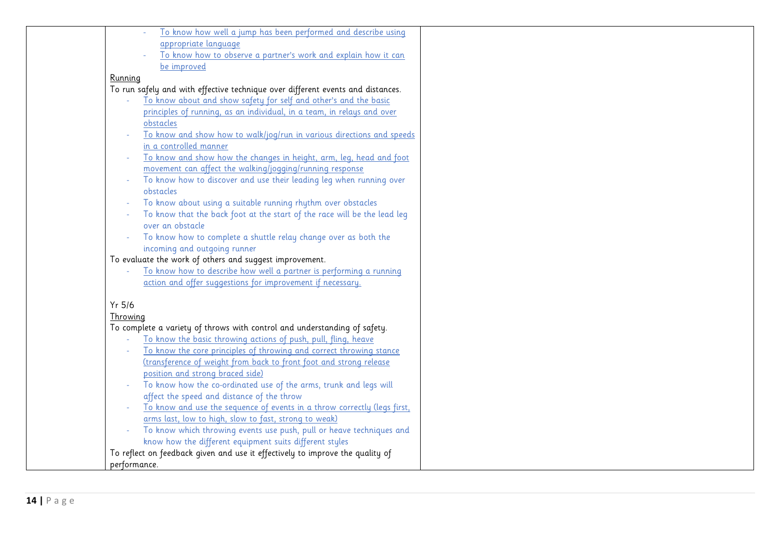|          | To know how well a jump has been performed and describe using                   |  |
|----------|---------------------------------------------------------------------------------|--|
|          | appropriate language                                                            |  |
|          | To know how to observe a partner's work and explain how it can                  |  |
|          | be improved                                                                     |  |
| Running  |                                                                                 |  |
|          | To run safely and with effective technique over different events and distances. |  |
|          | To know about and show safety for self and other's and the basic                |  |
|          | principles of running, as an individual, in a team, in relays and over          |  |
|          | obstacles                                                                       |  |
|          | To know and show how to walk/jog/run in various directions and speeds           |  |
|          | in a controlled manner                                                          |  |
|          | To know and show how the changes in height, arm, leg, head and foot             |  |
|          | movement can affect the walking/jogging/running response                        |  |
|          | To know how to discover and use their leading leg when running over             |  |
|          | obstacles                                                                       |  |
|          | To know about using a suitable running rhythm over obstacles                    |  |
|          | To know that the back foot at the start of the race will be the lead leg        |  |
|          | over an obstacle                                                                |  |
|          | To know how to complete a shuttle relay change over as both the                 |  |
|          | incoming and outgoing runner                                                    |  |
|          | To evaluate the work of others and suggest improvement.                         |  |
|          | To know how to describe how well a partner is performing a running              |  |
|          | action and offer suggestions for improvement if necessary.                      |  |
|          |                                                                                 |  |
| Yr 5/6   |                                                                                 |  |
| Throwing |                                                                                 |  |
|          | To complete a variety of throws with control and understanding of safety.       |  |
|          | To know the basic throwing actions of push, pull, fling, heave                  |  |
|          | To know the core principles of throwing and correct throwing stance             |  |
|          | (transference of weight from back to front foot and strong release              |  |
|          | position and strong braced side)                                                |  |
|          | To know how the co-ordinated use of the arms, trunk and legs will               |  |
|          | affect the speed and distance of the throw                                      |  |
|          | To know and use the sequence of events in a throw correctly (legs first,        |  |
|          | arms last, low to high, slow to fast, strong to weak)                           |  |
|          | To know which throwing events use push, pull or heave techniques and            |  |
|          | know how the different equipment suits different styles                         |  |
|          | To reflect on feedback given and use it effectively to improve the quality of   |  |
|          | performance.                                                                    |  |
|          |                                                                                 |  |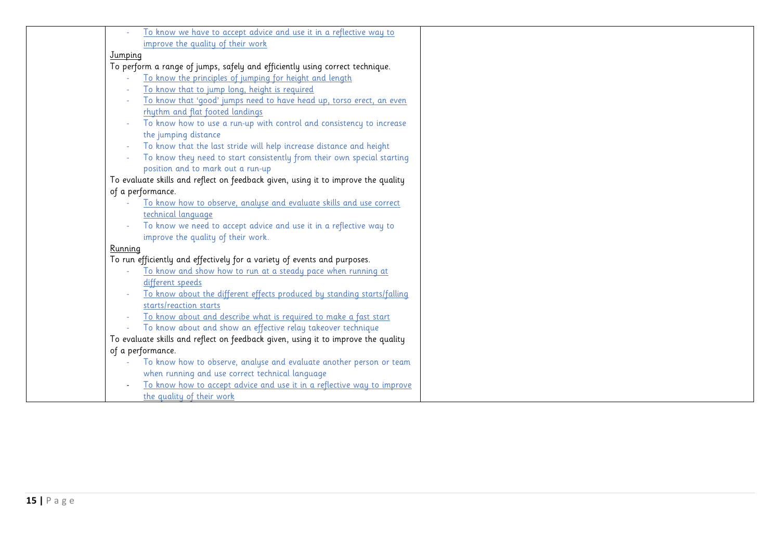|         | To know we have to accept advice and use it in a reflective way to                |
|---------|-----------------------------------------------------------------------------------|
|         | improve the quality of their work                                                 |
| Jumping |                                                                                   |
|         | To perform a range of jumps, safely and efficiently using correct technique.      |
|         | To know the principles of jumping for height and length                           |
|         | To know that to jump long, height is required                                     |
|         | To know that 'good' jumps need to have head up, torso erect, an even              |
|         | rhythm and flat footed landings                                                   |
|         | To know how to use a run-up with control and consistency to increase              |
|         | the jumping distance                                                              |
|         | To know that the last stride will help increase distance and height               |
|         | To know they need to start consistently from their own special starting           |
|         | position and to mark out a run-up                                                 |
|         | To evaluate skills and reflect on feedback given, using it to improve the quality |
|         | of a performance.                                                                 |
|         | To know how to observe, analyse and evaluate skills and use correct               |
|         | technical language                                                                |
|         | To know we need to accept advice and use it in a reflective way to                |
|         | improve the quality of their work.                                                |
| Running |                                                                                   |
|         | To run efficiently and effectively for a variety of events and purposes.          |
|         | To know and show how to run at a steady pace when running at                      |
|         | different speeds                                                                  |
|         | To know about the different effects produced by standing starts/falling           |
|         | starts/reaction starts                                                            |
|         | To know <u> about and describe what is required to make a fast start</u>          |
|         | To know about and show an effective relay takeover technique                      |
|         | To evaluate skills and reflect on feedback given, using it to improve the quality |
|         | of a performance.                                                                 |
|         | To know how to observe, analyse and evaluate another person or team               |
|         | when running and use correct technical language                                   |
|         | To know how to accept advice and use it in a reflective way to improve            |
|         | the quality of their work                                                         |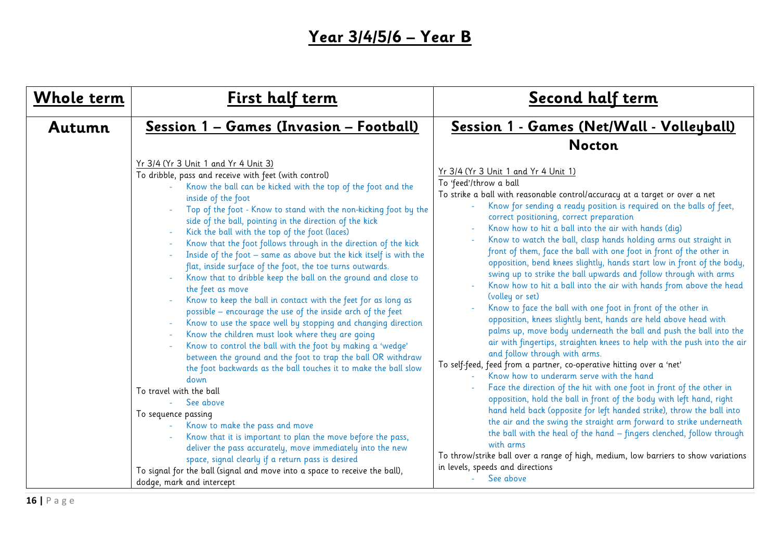## **Year 3/4/5/6 – Year B**

| Whole term | First half term                                                                                                                                                                                                                                                                                                                                                                                                                                                                                                                                                                                                                                                                                                                                                                                                                                                                                                                                                                                                                                                                                                               | Second half term                                                                                                                                                                                                                                                                                                                                                                                                                                                                                                                                                                                                                                                                                                                                                                                                                                                                                                                                                                                                                                                                                                                                                                                                                                                                                     |
|------------|-------------------------------------------------------------------------------------------------------------------------------------------------------------------------------------------------------------------------------------------------------------------------------------------------------------------------------------------------------------------------------------------------------------------------------------------------------------------------------------------------------------------------------------------------------------------------------------------------------------------------------------------------------------------------------------------------------------------------------------------------------------------------------------------------------------------------------------------------------------------------------------------------------------------------------------------------------------------------------------------------------------------------------------------------------------------------------------------------------------------------------|------------------------------------------------------------------------------------------------------------------------------------------------------------------------------------------------------------------------------------------------------------------------------------------------------------------------------------------------------------------------------------------------------------------------------------------------------------------------------------------------------------------------------------------------------------------------------------------------------------------------------------------------------------------------------------------------------------------------------------------------------------------------------------------------------------------------------------------------------------------------------------------------------------------------------------------------------------------------------------------------------------------------------------------------------------------------------------------------------------------------------------------------------------------------------------------------------------------------------------------------------------------------------------------------------|
| Autumn     | Session 1 - Games (Invasion - Football)<br>Yr 3/4 (Yr 3 Unit 1 and Yr 4 Unit 3)                                                                                                                                                                                                                                                                                                                                                                                                                                                                                                                                                                                                                                                                                                                                                                                                                                                                                                                                                                                                                                               | Session 1 - Games (Net/Wall - Volleyball)<br><b>Nocton</b>                                                                                                                                                                                                                                                                                                                                                                                                                                                                                                                                                                                                                                                                                                                                                                                                                                                                                                                                                                                                                                                                                                                                                                                                                                           |
|            | To dribble, pass and receive with feet (with control)<br>Know the ball can be kicked with the top of the foot and the<br>inside of the foot<br>Top of the foot - Know to stand with the non-kicking foot by the<br>side of the ball, pointing in the direction of the kick<br>Kick the ball with the top of the foot (laces)<br>Know that the foot follows through in the direction of the kick<br>Inside of the foot - same as above but the kick itself is with the<br>flat, inside surface of the foot, the toe turns outwards.<br>Know that to dribble keep the ball on the ground and close to<br>the feet as move<br>Know to keep the ball in contact with the feet for as long as<br>possible - encourage the use of the inside arch of the feet<br>Know to use the space well by stopping and changing direction<br>Know the children must look where they are going<br>Know to control the ball with the foot by making a 'wedge'<br>between the ground and the foot to trap the ball OR withdraw<br>the foot backwards as the ball touches it to make the ball slow<br>down<br>To travel with the ball<br>See above | Yr 3/4 (Yr 3 Unit 1 and Yr 4 Unit 1)<br>To 'feed'/throw a ball<br>To strike a ball with reasonable control/accuracy at a target or over a net<br>Know for sending a ready position is required on the balls of feet,<br>correct positioning, correct preparation<br>Know how to hit a ball into the air with hands (dig)<br>Know to watch the ball, clasp hands holding arms out straight in<br>front of them, face the ball with one foot in front of the other in<br>opposition, bend knees slightly, hands start low in front of the body,<br>swing up to strike the ball upwards and follow through with arms<br>Know how to hit a ball into the air with hands from above the head<br>(volley or set)<br>Know to face the ball with one foot in front of the other in<br>opposition, knees slightly bent, hands are held above head with<br>palms up, move body underneath the ball and push the ball into the<br>air with fingertips, straighten knees to help with the push into the air<br>and follow through with arms.<br>To self-feed, feed from a partner, co-operative hitting over a 'net'<br>Know how to underarm serve with the hand<br>Face the direction of the hit with one foot in front of the other in<br>opposition, hold the ball in front of the body with left hand, right |
|            | To sequence passing<br>Know to make the pass and move<br>Know that it is important to plan the move before the pass,<br>deliver the pass accurately, move immediately into the new                                                                                                                                                                                                                                                                                                                                                                                                                                                                                                                                                                                                                                                                                                                                                                                                                                                                                                                                            | hand held back (opposite for left handed strike), throw the ball into<br>the air and the swing the straight arm forward to strike underneath<br>the ball with the heal of the hand - fingers clenched, follow through<br>with arms                                                                                                                                                                                                                                                                                                                                                                                                                                                                                                                                                                                                                                                                                                                                                                                                                                                                                                                                                                                                                                                                   |
|            | space, signal clearly if a return pass is desired<br>To signal for the ball (signal and move into a space to receive the ball),<br>dodge, mark and intercept                                                                                                                                                                                                                                                                                                                                                                                                                                                                                                                                                                                                                                                                                                                                                                                                                                                                                                                                                                  | To throw/strike ball over a range of high, medium, low barriers to show variations<br>in levels, speeds and directions<br>See above                                                                                                                                                                                                                                                                                                                                                                                                                                                                                                                                                                                                                                                                                                                                                                                                                                                                                                                                                                                                                                                                                                                                                                  |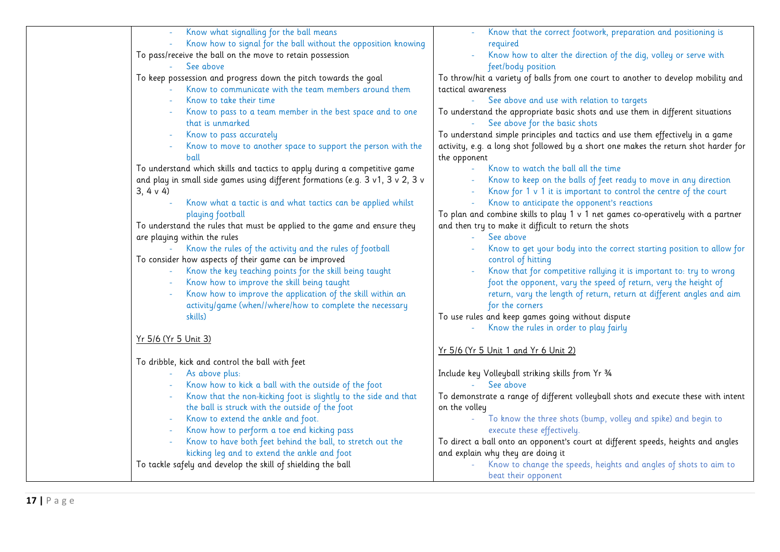| Know what signalling for the ball means                                        | Know that the correct footwork, preparation and positioning is                      |
|--------------------------------------------------------------------------------|-------------------------------------------------------------------------------------|
| Know how to signal for the ball without the opposition knowing                 | required                                                                            |
| To pass/receive the ball on the move to retain possession                      | Know how to alter the direction of the dig, volley or serve with                    |
| See above                                                                      | feet/body position                                                                  |
| To keep possession and progress down the pitch towards the goal                | To throw/hit a variety of balls from one court to another to develop mobility and   |
| Know to communicate with the team members around them                          | tactical awareness                                                                  |
| Know to take their time                                                        | See above and use with relation to targets                                          |
| Know to pass to a team member in the best space and to one                     | To understand the appropriate basic shots and use them in different situations      |
| that is unmarked                                                               | See above for the basic shots                                                       |
| Know to pass accurately                                                        | To understand simple principles and tactics and use them effectively in a game      |
| Know to move to another space to support the person with the                   | activity, e.g. a long shot followed by a short one makes the return shot harder for |
| ball                                                                           | the opponent                                                                        |
| To understand which skills and tactics to apply during a competitive game      | Know to watch the ball all the time                                                 |
| and play in small side games using different formations (e.g. 3 v1, 3 v 2, 3 v | Know to keep on the balls of feet ready to move in any direction                    |
| 3, 4 v 4                                                                       | Know for 1 v 1 it is important to control the centre of the court                   |
| Know what a tactic is and what tactics can be applied whilst                   | Know to anticipate the opponent's reactions                                         |
| playing football                                                               | To plan and combine skills to play 1 v 1 net games co-operatively with a partner    |
| To understand the rules that must be applied to the game and ensure they       | and then try to make it difficult to return the shots                               |
| are playing within the rules                                                   | See above<br>$\omega_{\rm{eff}}$                                                    |
| Know the rules of the activity and the rules of football                       | Know to get your body into the correct starting position to allow for               |
| To consider how aspects of their game can be improved                          | control of hitting                                                                  |
| Know the key teaching points for the skill being taught                        | Know that for competitive rallying it is important to: try to wrong                 |
| Know how to improve the skill being taught                                     | foot the opponent, vary the speed of return, very the height of                     |
| Know how to improve the application of the skill within an                     | return, vary the length of return, return at different angles and aim               |
| activity/game (when//where/how to complete the necessary                       | for the corners                                                                     |
| skills)                                                                        | To use rules and keep games going without dispute                                   |
|                                                                                | Know the rules in order to play fairly                                              |
| <u>Yr 5/6 (Yr 5 Unit 3)</u>                                                    |                                                                                     |
|                                                                                | <u>Yr 5/6 (Yr 5 Unit 1 and Yr 6 Unit 2)</u>                                         |
| To dribble, kick and control the ball with feet                                |                                                                                     |
| As above plus:                                                                 | Include key Volleyball striking skills from Yr 3/4                                  |
| Know how to kick a ball with the outside of the foot                           | - See above                                                                         |
| Know that the non-kicking foot is slightly to the side and that                | To demonstrate a range of different volleyball shots and execute these with intent  |
| the ball is struck with the outside of the foot                                | on the volley                                                                       |
| Know to extend the ankle and foot.                                             | To know the three shots (bump, volley and spike) and begin to                       |
|                                                                                | execute these effectively.                                                          |
| Know how to perform a toe end kicking pass                                     |                                                                                     |
| Know to have both feet behind the ball, to stretch out the                     | To direct a ball onto an opponent's court at different speeds, heights and angles   |
| kicking leg and to extend the ankle and foot                                   | and explain why they are doing it                                                   |
| To tackle safely and develop the skill of shielding the ball                   | Know to change the speeds, heights and angles of shots to aim to                    |
|                                                                                | beat their opponent                                                                 |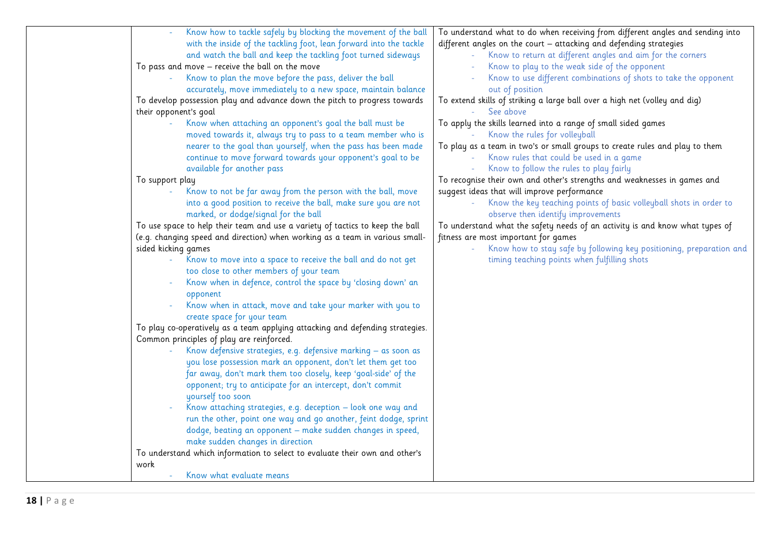| Know how to tackle safely by blocking the movement of the ball                | To understand what to do when receiving from different angles and sending into |
|-------------------------------------------------------------------------------|--------------------------------------------------------------------------------|
| with the inside of the tackling foot, lean forward into the tackle            | different angles on the court - attacking and defending strategies             |
| and watch the ball and keep the tackling foot turned sideways                 | Know to return at different angles and aim for the corners                     |
| To pass and move - receive the ball on the move                               | Know to play to the weak side of the opponent                                  |
| Know to plan the move before the pass, deliver the ball                       | Know to use different combinations of shots to take the opponent               |
| accurately, move immediately to a new space, maintain balance                 | out of position                                                                |
| To develop possession play and advance down the pitch to progress towards     | To extend skills of striking a large ball over a high net (volley and dig)     |
| their opponent's goal                                                         | See above                                                                      |
| Know when attaching an opponent's goal the ball must be                       | To apply the skills learned into a range of small sided games                  |
| moved towards it, always try to pass to a team member who is                  | Know the rules for volleyball                                                  |
| nearer to the goal than yourself, when the pass has been made                 | To play as a team in two's or small groups to create rules and play to them    |
| continue to move forward towards your opponent's goal to be                   | Know rules that could be used in a game                                        |
| available for another pass                                                    | Know to follow the rules to play fairly                                        |
| To support play                                                               | To recognise their own and other's strengths and weaknesses in games and       |
| Know to not be far away from the person with the ball, move                   | suggest ideas that will improve performance                                    |
| into a good position to receive the ball, make sure you are not               | Know the key teaching points of basic volleyball shots in order to             |
| marked, or dodge/signal for the ball                                          | observe then identify improvements                                             |
| To use space to help their team and use a variety of tactics to keep the ball | To understand what the safety needs of an activity is and know what types of   |
| (e.g. changing speed and direction) when working as a team in various small-  | fitness are most important for games                                           |
| sided kicking games                                                           | Know how to stay safe by following key positioning, preparation and            |
| Know to move into a space to receive the ball and do not get                  | timing teaching points when fulfilling shots                                   |
| too close to other members of your team                                       |                                                                                |
| Know when in defence, control the space by 'closing down' an                  |                                                                                |
| opponent                                                                      |                                                                                |
| Know when in attack, move and take your marker with you to                    |                                                                                |
| create space for your team                                                    |                                                                                |
| To play co-operatively as a team applying attacking and defending strategies. |                                                                                |
| Common principles of play are reinforced.                                     |                                                                                |
| Know defensive strategies, e.g. defensive marking - as soon as                |                                                                                |
| you lose possession mark an opponent, don't let them get too                  |                                                                                |
| far away, don't mark them too closely, keep 'goal-side' of the                |                                                                                |
| opponent; try to anticipate for an intercept, don't commit                    |                                                                                |
| yourself too soon                                                             |                                                                                |
| Know attaching strategies, e.g. deception - look one way and                  |                                                                                |
| run the other, point one way and go another, feint dodge, sprint              |                                                                                |
| dodge, beating an opponent - make sudden changes in speed,                    |                                                                                |
| make sudden changes in direction                                              |                                                                                |
| To understand which information to select to evaluate their own and other's   |                                                                                |
| work                                                                          |                                                                                |
| Know what evaluate means                                                      |                                                                                |
|                                                                               |                                                                                |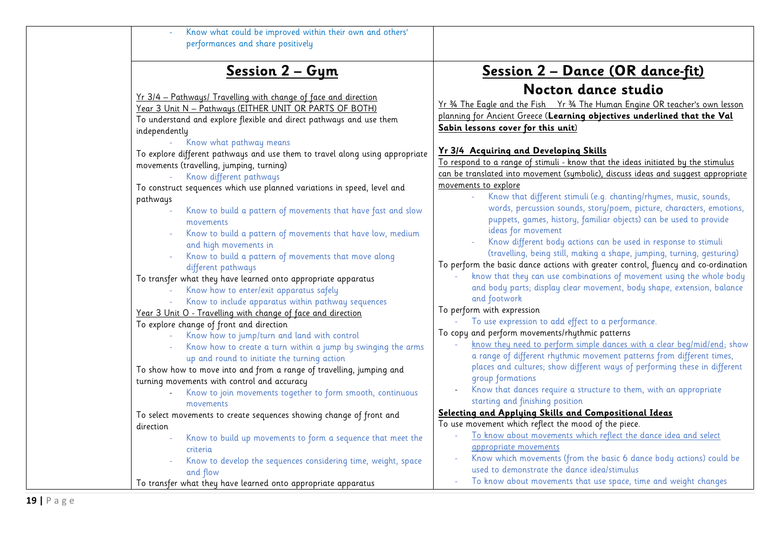| Know what could be improved within their own and others'<br>performances and share positively                                                                                                                                                                                                                                                                                                                                                                                                                                                                                                                                                                                                                                                                                                         |                                                                                                                                                                                                                                                                                                                                                                                                                                                                                                                                                                                                                                                                                                                                                                                                                                                                                                                                                                        |
|-------------------------------------------------------------------------------------------------------------------------------------------------------------------------------------------------------------------------------------------------------------------------------------------------------------------------------------------------------------------------------------------------------------------------------------------------------------------------------------------------------------------------------------------------------------------------------------------------------------------------------------------------------------------------------------------------------------------------------------------------------------------------------------------------------|------------------------------------------------------------------------------------------------------------------------------------------------------------------------------------------------------------------------------------------------------------------------------------------------------------------------------------------------------------------------------------------------------------------------------------------------------------------------------------------------------------------------------------------------------------------------------------------------------------------------------------------------------------------------------------------------------------------------------------------------------------------------------------------------------------------------------------------------------------------------------------------------------------------------------------------------------------------------|
| Session 2 - Gym                                                                                                                                                                                                                                                                                                                                                                                                                                                                                                                                                                                                                                                                                                                                                                                       | <u> Session 2 – Dance (OR dance-fit)</u>                                                                                                                                                                                                                                                                                                                                                                                                                                                                                                                                                                                                                                                                                                                                                                                                                                                                                                                               |
| Yr 3/4 - Pathways/ Travelling with change of face and direction<br>Year 3 Unit N - Pathways (EITHER UNIT OR PARTS OF BOTH)<br>To understand and explore flexible and direct pathways and use them<br>independently                                                                                                                                                                                                                                                                                                                                                                                                                                                                                                                                                                                    | Nocton dance studio<br>Yr 34 The Eagle and the Fish Yr 34 The Human Engine OR teacher's own lesson<br>planning for Ancient Greece (Learning objectives underlined that the Val<br>Sabin lessons cover for this unit)                                                                                                                                                                                                                                                                                                                                                                                                                                                                                                                                                                                                                                                                                                                                                   |
| Know what pathway means<br>To explore different pathways and use them to travel along using appropriate<br>movements (travelling, jumping, turning)<br>Know different pathways<br>To construct sequences which use planned variations in speed, level and<br>pathways<br>Know to build a pattern of movements that have fast and slow<br>movements<br>Know to build a pattern of movements that have low, medium<br>and high movements in<br>Know to build a pattern of movements that move along<br>different pathways<br>To transfer what they have learned onto appropriate apparatus<br>Know how to enter/exit apparatus safely<br>Know to include apparatus within pathway sequences<br>Year 3 Unit O - Travelling with change of face and direction<br>To explore change of front and direction | Yr 3/4 Acquiring and Developing Skills<br>To respond to a range of stimuli - know that the ideas initiated by the stimulus<br>can be translated into movement (symbolic), discuss ideas and suggest appropriate<br>movements to explore<br>Know that different stimuli (e.g. chanting/rhymes, music, sounds,<br>words, percussion sounds, story/poem, picture, characters, emotions,<br>puppets, games, history, familiar objects) can be used to provide<br>ideas for movement<br>Know different body actions can be used in response to stimuli<br>(travelling, being still, making a shape, jumping, turning, gesturing)<br>To perform the basic dance actions with greater control, fluency and co-ordination<br>know that they can use combinations of movement using the whole body<br>and body parts; display clear movement, body shape, extension, balance<br>and footwork<br>To perform with expression<br>To use expression to add effect to a performance. |
| Know how to jump/turn and land with control<br>Know how to create a turn within a jump by swinging the arms<br>up and round to initiate the turning action<br>To show how to move into and from a range of travelling, jumping and<br>turning movements with control and accuracy<br>Know to join movements together to form smooth, continuous<br>movements<br>To select movements to create sequences showing change of front and                                                                                                                                                                                                                                                                                                                                                                   | To copy and perform movements/rhythmic patterns<br>know they need to perform simple dances with a clear beg/mid/end; show<br>a range of different rhythmic movement patterns from different times,<br>places and cultures; show different ways of performing these in different<br>group formations<br>Know that dances require a structure to them, with an appropriate<br>starting and finishing position<br>Selecting and Applying Skills and Compositional Ideas                                                                                                                                                                                                                                                                                                                                                                                                                                                                                                   |
| direction<br>Know to build up movements to form a sequence that meet the<br>L,<br>criteria<br>Know to develop the sequences considering time, weight, space<br>and flow<br>To transfer what they have learned onto appropriate apparatus                                                                                                                                                                                                                                                                                                                                                                                                                                                                                                                                                              | To use movement which reflect the mood of the piece.<br>To know about movements which reflect the dance idea and select<br>appropriate movements<br>Know which movements (from the basic 6 dance body actions) could be<br>used to demonstrate the dance idea/stimulus<br>To know about movements that use space, time and weight changes<br>$\omega$                                                                                                                                                                                                                                                                                                                                                                                                                                                                                                                                                                                                                  |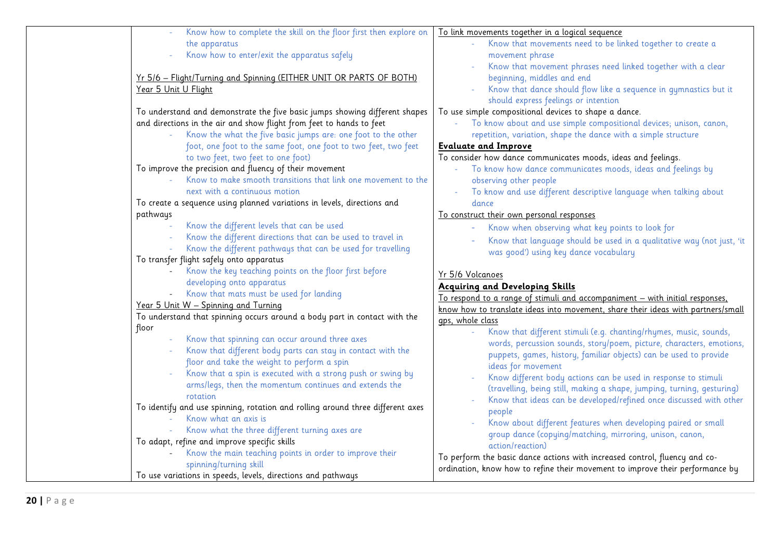| Know how to complete the skill on the floor first then explore on              | To link movements together in a logical sequence                                 |
|--------------------------------------------------------------------------------|----------------------------------------------------------------------------------|
| the apparatus                                                                  | Know that movements need to be linked together to create a                       |
| Know how to enter/exit the apparatus safely                                    | movement phrase                                                                  |
|                                                                                | Know that movement phrases need linked together with a clear                     |
| Yr 5/6 - Flight/Turning and Spinning (EITHER UNIT OR PARTS OF BOTH)            | beginning, middles and end                                                       |
| Year 5 Unit U Flight                                                           | Know that dance should flow like a sequence in gymnastics but it                 |
|                                                                                | should express feelings or intention                                             |
| To understand and demonstrate the five basic jumps showing different shapes    | To use simple compositional devices to shape a dance.                            |
| and directions in the air and show flight from feet to hands to feet           | To know about and use simple compositional devices; unison, canon,               |
| Know the what the five basic jumps are: one foot to the other                  | repetition, variation, shape the dance with a simple structure                   |
| foot, one foot to the same foot, one foot to two feet, two feet                | <b>Evaluate and Improve</b>                                                      |
| to two feet, two feet to one foot)                                             | To consider how dance communicates moods, ideas and feelings.                    |
| To improve the precision and fluency of their movement                         | To know how dance communicates moods, ideas and feelings by                      |
| Know to make smooth transitions that link one movement to the                  | observing other people                                                           |
| next with a continuous motion                                                  | To know and use different descriptive language when talking about                |
| To create a sequence using planned variations in levels, directions and        | dance                                                                            |
| pathways                                                                       | To construct their own personal responses                                        |
| Know the different levels that can be used                                     | Know when observing what key points to look for                                  |
| Know the different directions that can be used to travel in                    | Know that language should be used in a qualitative way (not just, 'it<br>$\sim$  |
| Know the different pathways that can be used for travelling                    | was good') using key dance vocabulary                                            |
| To transfer flight safely onto apparatus                                       |                                                                                  |
| Know the key teaching points on the floor first before                         | Yr 5/6 Volcanoes                                                                 |
| developing onto apparatus                                                      | <b>Acquiring and Developing Skills</b>                                           |
| Know that mats must be used for landing                                        | To respond to a range of stimuli and accompaniment - with initial responses,     |
| Year 5 Unit W - Spinning and Turning                                           | know how to translate ideas into movement, share their ideas with partners/small |
| To understand that spinning occurs around a body part in contact with the      | gps, whole class                                                                 |
| floor                                                                          | Know that different stimuli (e.g. chanting/rhymes, music, sounds,                |
| Know that spinning can occur around three axes                                 | words, percussion sounds, story/poem, picture, characters, emotions,             |
| Know that different body parts can stay in contact with the                    | puppets, games, history, familiar objects) can be used to provide                |
| floor and take the weight to perform a spin                                    | ideas for movement                                                               |
| Know that a spin is executed with a strong push or swing by                    | Know different body actions can be used in response to stimuli                   |
| arms/legs, then the momentum continues and extends the                         | (travelling, being still, making a shape, jumping, turning, gesturing)           |
| rotation                                                                       | Know that ideas can be developed/refined once discussed with other               |
| To identify and use spinning, rotation and rolling around three different axes | people                                                                           |
| Know what an axis is                                                           | Know about different features when developing paired or small                    |
| Know what the three different turning axes are                                 | group dance (copying/matching, mirroring, unison, canon,                         |
| To adapt, refine and improve specific skills                                   | action/reaction)                                                                 |
| Know the main teaching points in order to improve their                        | To perform the basic dance actions with increased control, fluency and co-       |
| spinning/turning skill                                                         | ordination, know how to refine their movement to improve their performance by    |
| To use variations in speeds, levels, directions and pathways                   |                                                                                  |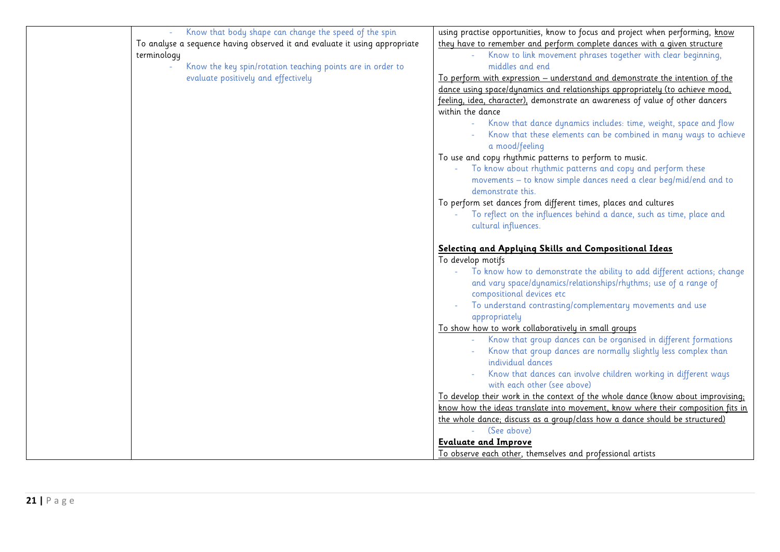| Know that body shape can change the speed of the spin                      | using practise opportunities, know to focus and project when performing, know    |
|----------------------------------------------------------------------------|----------------------------------------------------------------------------------|
| To analyse a sequence having observed it and evaluate it using appropriate | they have to remember and perform complete dances with a given structure         |
| terminology                                                                | Know to link movement phrases together with clear beginning,                     |
| Know the key spin/rotation teaching points are in order to                 | middles and end                                                                  |
| evaluate positively and effectively                                        | To perform with expression – understand and demonstrate the intention of the     |
|                                                                            | dance using space/dynamics and relationships appropriately (to achieve mood,     |
|                                                                            | feeling, idea, character), demonstrate an awareness of value of other dancers    |
|                                                                            | within the dance                                                                 |
|                                                                            | Know that dance dynamics includes: time, weight, space and flow                  |
|                                                                            | Know that these elements can be combined in many ways to achieve                 |
|                                                                            | a mood/feeling                                                                   |
|                                                                            | To use and copy rhythmic patterns to perform to music.                           |
|                                                                            | To know about rhythmic patterns and copy and perform these                       |
|                                                                            | movements - to know simple dances need a clear beg/mid/end and to                |
|                                                                            | demonstrate this.                                                                |
|                                                                            |                                                                                  |
|                                                                            | To perform set dances from different times, places and cultures                  |
|                                                                            | To reflect on the influences behind a dance, such as time, place and             |
|                                                                            | cultural influences.                                                             |
|                                                                            | Selecting and Applying Skills and Compositional Ideas                            |
|                                                                            | To develop motifs                                                                |
|                                                                            | To know how to demonstrate the ability to add different actions; change          |
|                                                                            | and vary space/dynamics/relationships/rhythms; use of a range of                 |
|                                                                            | compositional devices etc                                                        |
|                                                                            | To understand contrasting/complementary movements and use                        |
|                                                                            | appropriately                                                                    |
|                                                                            | To show how to work collaboratively in small groups                              |
|                                                                            | Know that group dances can be organised in different formations                  |
|                                                                            | Know that group dances are normally slightly less complex than                   |
|                                                                            | individual dances                                                                |
|                                                                            | Know that dances can involve children working in different ways                  |
|                                                                            | with each other (see above)                                                      |
|                                                                            | To develop their work in the context of the whole dance (know about improvising; |
|                                                                            | know how the ideas translate into movement, know where their composition fits in |
|                                                                            | the whole dance; discuss as a group/class how a dance should be structured)      |
|                                                                            | (See above)                                                                      |
|                                                                            | <b>Evaluate and Improve</b>                                                      |
|                                                                            | To observe each other, themselves and professional artists                       |
|                                                                            |                                                                                  |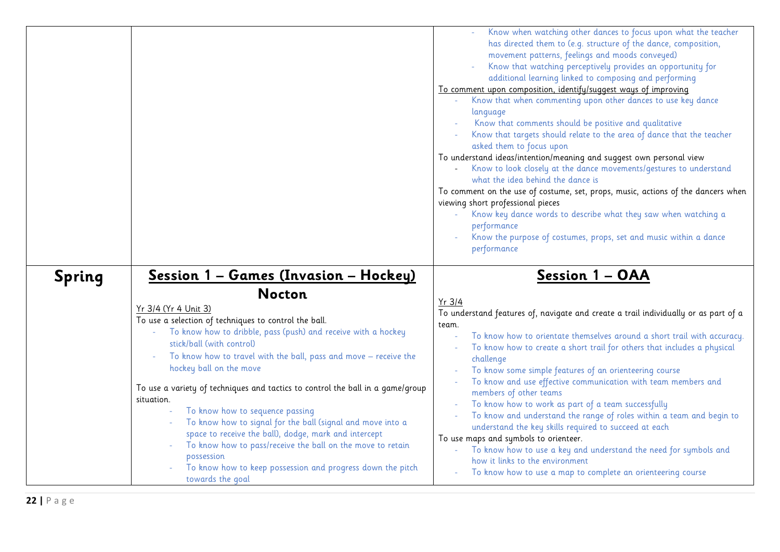|               |                                                                                                                                                                                                                                                                                                                                                                                                                                                                                                                                                                                                                                                                      | Know when watching other dances to focus upon what the teacher<br>has directed them to (e.g. structure of the dance, composition,<br>movement patterns, feelings and moods conveyed)<br>Know that watching perceptively provides an opportunity for<br>additional learning linked to composing and performing<br>To comment upon composition, identify/suggest ways of improving<br>Know that when commenting upon other dances to use key dance<br>language<br>Know that comments should be positive and qualitative<br>Know that targets should relate to the area of dance that the teacher<br>asked them to focus upon<br>To understand ideas/intention/meaning and suggest own personal view<br>Know to look closely at the dance movements/gestures to understand<br>what the idea behind the dance is<br>To comment on the use of costume, set, props, music, actions of the dancers when<br>viewing short professional pieces<br>Know key dance words to describe what they saw when watching a<br>performance<br>Know the purpose of costumes, props, set and music within a dance<br>performance |
|---------------|----------------------------------------------------------------------------------------------------------------------------------------------------------------------------------------------------------------------------------------------------------------------------------------------------------------------------------------------------------------------------------------------------------------------------------------------------------------------------------------------------------------------------------------------------------------------------------------------------------------------------------------------------------------------|------------------------------------------------------------------------------------------------------------------------------------------------------------------------------------------------------------------------------------------------------------------------------------------------------------------------------------------------------------------------------------------------------------------------------------------------------------------------------------------------------------------------------------------------------------------------------------------------------------------------------------------------------------------------------------------------------------------------------------------------------------------------------------------------------------------------------------------------------------------------------------------------------------------------------------------------------------------------------------------------------------------------------------------------------------------------------------------------------------|
| <b>Spring</b> | <u> Session 1 - Games (Invasion - Hockey)</u><br><b>Nocton</b><br>Yr 3/4 (Yr 4 Unit 3)<br>To use a selection of techniques to control the ball.<br>To know how to dribble, pass (push) and receive with a hockey<br>stick/ball (with control)<br>To know how to travel with the ball, pass and move - receive the<br>hockey ball on the move<br>To use a variety of techniques and tactics to control the ball in a game/group<br>situation.<br>To know how to sequence passing<br>To know how to signal for the ball (signal and move into a<br>space to receive the ball), dodge, mark and intercept<br>To know how to pass/receive the ball on the move to retain | Session 1 - OAA<br>$Yr$ 3/4<br>To understand features of, navigate and create a trail individually or as part of a<br>team.<br>To know how to orientate themselves around a short trail with accuracy.<br>To know how to create a short trail for others that includes a physical<br>challenge<br>To know some simple features of an orienteering course<br>To know and use effective communication with team members and<br>members of other teams<br>To know how to work as part of a team successfully<br>To know and understand the range of roles within a team and begin to<br>understand the key skills required to succeed at each<br>To use maps and symbols to orienteer.<br>To know how to use a key and understand the need for symbols and<br>$\omega$                                                                                                                                                                                                                                                                                                                                        |
|               | possession<br>To know how to keep possession and progress down the pitch<br>towards the goal                                                                                                                                                                                                                                                                                                                                                                                                                                                                                                                                                                         | how it links to the environment<br>To know how to use a map to complete an orienteering course                                                                                                                                                                                                                                                                                                                                                                                                                                                                                                                                                                                                                                                                                                                                                                                                                                                                                                                                                                                                             |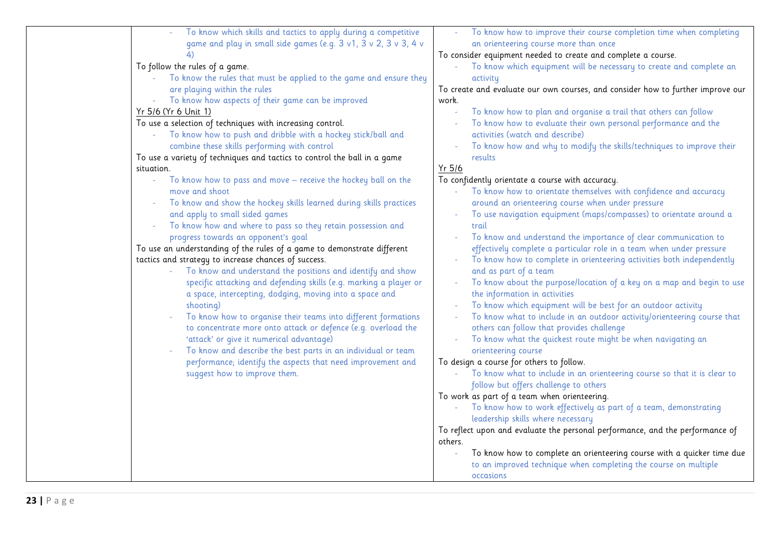| To know which skills and tactics to apply during a competitive<br>game and play in small side games (e.g. 3 v1, 3 v 2, 3 v 3, 4 v | To know how to improve their course completion time when completing<br>an orienteering course more than once |
|-----------------------------------------------------------------------------------------------------------------------------------|--------------------------------------------------------------------------------------------------------------|
|                                                                                                                                   | To consider equipment needed to create and complete a course.                                                |
| To follow the rules of a game.                                                                                                    | To know which equipment will be necessary to create and complete an<br>$\omega$                              |
| To know the rules that must be applied to the game and ensure they                                                                | activity                                                                                                     |
| are playing within the rules                                                                                                      | To create and evaluate our own courses, and consider how to further improve our                              |
| To know how aspects of their game can be improved                                                                                 | work.                                                                                                        |
| Yr 5/6 (Yr 6 Unit 1)                                                                                                              | To know how to plan and organise a trail that others can follow                                              |
| To use a selection of techniques with increasing control.                                                                         | To know how to evaluate their own personal performance and the                                               |
| To know how to push and dribble with a hockey stick/ball and                                                                      | activities (watch and describe)                                                                              |
| combine these skills performing with control                                                                                      | To know how and why to modify the skills/techniques to improve their                                         |
| To use a variety of techniques and tactics to control the ball in a game                                                          | results                                                                                                      |
| situation.                                                                                                                        | $Yr$ 5/6                                                                                                     |
| To know how to pass and move - receive the hockey ball on the<br>$\omega_{\rm{eff}}$                                              | To confidently orientate a course with accuracy.                                                             |
| move and shoot                                                                                                                    | To know how to orientate themselves with confidence and accuracy<br>$\omega_{\rm c}$                         |
| To know and show the hockey skills learned during skills practices                                                                | around an orienteering course when under pressure                                                            |
| and apply to small sided games                                                                                                    | To use navigation equipment (maps/compasses) to orientate around a<br>$\equiv$                               |
| To know how and where to pass so they retain possession and                                                                       | trail                                                                                                        |
| progress towards an opponent's goal                                                                                               | To know and understand the importance of clear communication to                                              |
| To use an understanding of the rules of a game to demonstrate different                                                           | effectively complete a particular role in a team when under pressure                                         |
| tactics and strategy to increase chances of success.                                                                              | To know how to complete in orienteering activities both independently                                        |
| To know and understand the positions and identify and show                                                                        | and as part of a team                                                                                        |
| specific attacking and defending skills (e.g. marking a player or                                                                 | To know about the purpose/location of a key on a map and begin to use<br>$\sim$                              |
| a space, intercepting, dodging, moving into a space and                                                                           | the information in activities                                                                                |
| shooting)                                                                                                                         | To know which equipment will be best for an outdoor activity                                                 |
| To know how to organise their teams into different formations                                                                     | To know what to include in an outdoor activity/orienteering course that                                      |
| to concentrate more onto attack or defence (e.g. overload the                                                                     | others can follow that provides challenge                                                                    |
| 'attack' or give it numerical advantage)                                                                                          | To know what the quickest route might be when navigating an                                                  |
| To know and describe the best parts in an individual or team                                                                      | orienteering course                                                                                          |
| performance; identify the aspects that need improvement and                                                                       | To design a course for others to follow.                                                                     |
| suggest how to improve them.                                                                                                      | To know what to include in an orienteering course so that it is clear to                                     |
|                                                                                                                                   | follow but offers challenge to others                                                                        |
|                                                                                                                                   | To work as part of a team when orienteering.                                                                 |
|                                                                                                                                   | To know how to work effectively as part of a team, demonstrating                                             |
|                                                                                                                                   | leadership skills where necessary                                                                            |
|                                                                                                                                   | To reflect upon and evaluate the personal performance, and the performance of                                |
|                                                                                                                                   | others.                                                                                                      |
|                                                                                                                                   | To know how to complete an orienteering course with a quicker time due                                       |
|                                                                                                                                   | to an improved technique when completing the course on multiple                                              |
|                                                                                                                                   | occasions                                                                                                    |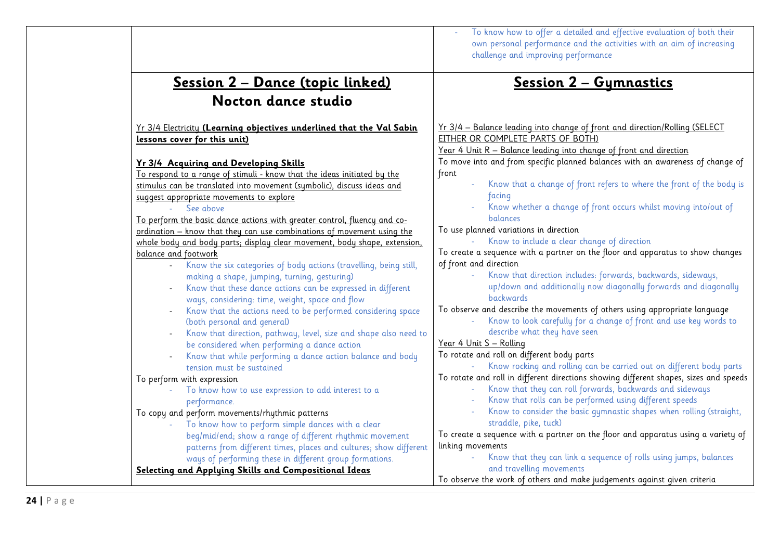|                                                                           | To know how to offer a detailed and effective evaluation of both their<br>own personal performance and the activities with an aim of increasing<br>challenge and improving performance |
|---------------------------------------------------------------------------|----------------------------------------------------------------------------------------------------------------------------------------------------------------------------------------|
| <u> Session 2 – Dance (topic linked)</u><br>Nocton dance studio           | <u> Session 2 - Gymnastics</u>                                                                                                                                                         |
|                                                                           |                                                                                                                                                                                        |
| Yr 3/4 Electricity (Learning objectives underlined that the Val Sabin     | Yr 3/4 - Balance leading into change of front and direction/Rolling (SELECT                                                                                                            |
| lessons cover for this unit)                                              | EITHER OR COMPLETE PARTS OF BOTH)                                                                                                                                                      |
|                                                                           | Year 4 Unit R - Balance leading into change of front and direction                                                                                                                     |
| Yr 3/4 Acquiring and Developing Skills                                    | To move into and from specific planned balances with an awareness of change of                                                                                                         |
| To respond to a range of stimuli - know that the ideas initiated by the   | front                                                                                                                                                                                  |
| stimulus can be translated into movement (symbolic), discuss ideas and    | Know that a change of front refers to where the front of the body is                                                                                                                   |
| suggest appropriate movements to explore                                  | facing                                                                                                                                                                                 |
| See above                                                                 | Know whether a change of front occurs whilst moving into/out of                                                                                                                        |
| To perform the basic dance actions with greater control, fluency and co-  | <b>balances</b>                                                                                                                                                                        |
| ordination - know that they can use combinations of movement using the    | To use planned variations in direction                                                                                                                                                 |
| whole body and body parts; display clear movement, body shape, extension, | Know to include a clear change of direction                                                                                                                                            |
| balance and footwork                                                      | To create a sequence with a partner on the floor and apparatus to show changes                                                                                                         |
| Know the six categories of body actions (travelling, being still,         | of front and direction                                                                                                                                                                 |
| making a shape, jumping, turning, gesturing)                              | Know that direction includes: forwards, backwards, sideways,                                                                                                                           |
| Know that these dance actions can be expressed in different               | up/down and additionally now diagonally forwards and diagonally                                                                                                                        |
| ways, considering: time, weight, space and flow                           | <b>backwards</b>                                                                                                                                                                       |
| Know that the actions need to be performed considering space              | To observe and describe the movements of others using appropriate language                                                                                                             |
| (both personal and general)                                               | Know to look carefully for a change of front and use key words to                                                                                                                      |
| Know that direction, pathway, level, size and shape also need to          | describe what they have seen                                                                                                                                                           |
| be considered when performing a dance action                              | Year 4 Unit S - Rolling                                                                                                                                                                |
| Know that while performing a dance action balance and body                | To rotate and roll on different body parts                                                                                                                                             |
| tension must be sustained                                                 | Know rocking and rolling can be carried out on different body parts                                                                                                                    |
| To perform with expression                                                | To rotate and roll in different directions showing different shapes, sizes and speeds                                                                                                  |
| To know how to use expression to add interest to a                        | Know that they can roll forwards, backwards and sideways                                                                                                                               |
| performance.                                                              | Know that rolls can be performed using different speeds                                                                                                                                |
| To copy and perform movements/rhythmic patterns                           | Know to consider the basic gymnastic shapes when rolling (straight,                                                                                                                    |
| To know how to perform simple dances with a clear                         | straddle, pike, tuck)                                                                                                                                                                  |
| beg/mid/end; show a range of different rhythmic movement                  | To create a sequence with a partner on the floor and apparatus using a variety of<br>linking movements                                                                                 |
| patterns from different times, places and cultures; show different        | Know that they can link a sequence of rolls using jumps, balances                                                                                                                      |
| ways of performing these in different group formations.                   | and travelling movements                                                                                                                                                               |
| Selecting and Applying Skills and Compositional Ideas                     | To observe the work of others and make judgements against given criteria                                                                                                               |
|                                                                           |                                                                                                                                                                                        |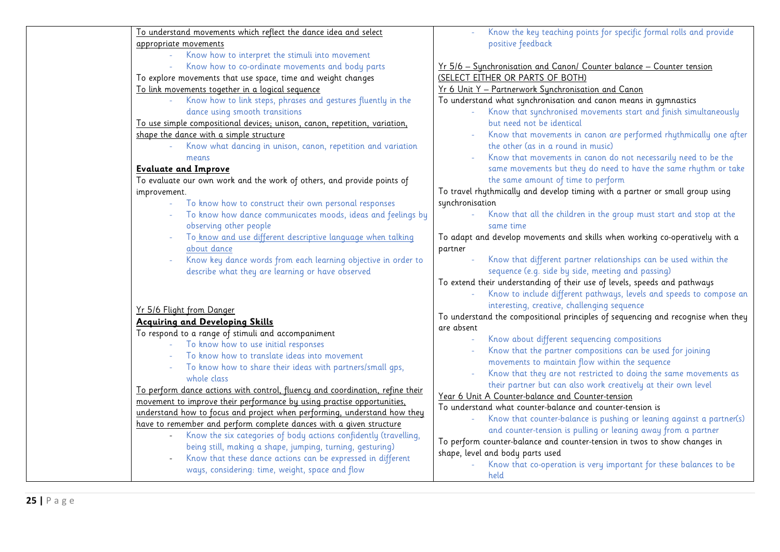| To understand movements which reflect the dance idea and select               | Know the key teaching points for specific formal rolls and provide               |
|-------------------------------------------------------------------------------|----------------------------------------------------------------------------------|
| appropriate movements                                                         | positive feedback                                                                |
| Know how to interpret the stimuli into movement                               |                                                                                  |
| Know how to co-ordinate movements and body parts                              | Yr 5/6 - Synchronisation and Canon/ Counter balance - Counter tension            |
| To explore movements that use space, time and weight changes                  | (SELECT EITHER OR PARTS OF BOTH)                                                 |
| To link movements together in a logical sequence                              | Yr 6 Unit Y - Partnerwork Synchronisation and Canon                              |
| Know how to link steps, phrases and gestures fluently in the                  | To understand what synchronisation and canon means in gymnastics                 |
| dance using smooth transitions                                                | Know that synchronised movements start and finish simultaneously                 |
| To use simple compositional devices; unison, canon, repetition, variation,    | but need not be identical                                                        |
| shape the dance with a simple structure                                       | Know that movements in canon are performed rhythmically one after                |
| Know what dancing in unison, canon, repetition and variation                  | the other (as in a round in music)                                               |
| means                                                                         | Know that movements in canon do not necessarily need to be the                   |
| <b>Evaluate and Improve</b>                                                   | same movements but they do need to have the same rhythm or take                  |
| To evaluate our own work and the work of others, and provide points of        | the same amount of time to perform                                               |
| improvement.                                                                  | To travel rhythmically and develop timing with a partner or small group using    |
| To know how to construct their own personal responses                         | synchronisation                                                                  |
| To know how dance communicates moods, ideas and feelings by                   | Know that all the children in the group must start and stop at the               |
| observing other people                                                        | same time                                                                        |
| To know and use different descriptive language when talking                   | To adapt and develop movements and skills when working co-operatively with a     |
| about dance                                                                   | partner                                                                          |
| Know key dance words from each learning objective in order to                 | Know that different partner relationships can be used within the                 |
| describe what they are learning or have observed                              | sequence (e.g. side by side, meeting and passing)                                |
|                                                                               | To extend their understanding of their use of levels, speeds and pathways        |
|                                                                               | Know to include different pathways, levels and speeds to compose an              |
| Yr 5/6 Flight from Danger                                                     | interesting, creative, challenging sequence                                      |
| <b>Acquiring and Developing Skills</b>                                        | To understand the compositional principles of sequencing and recognise when they |
| To respond to a range of stimuli and accompaniment                            | are absent                                                                       |
| To know how to use initial responses                                          | Know about different sequencing compositions<br>$\sim$                           |
| To know how to translate ideas into movement                                  | Know that the partner compositions can be used for joining                       |
| To know how to share their ideas with partners/small qps,                     | movements to maintain flow within the sequence                                   |
| whole class                                                                   | Know that they are not restricted to doing the same movements as                 |
| To perform dance actions with control, fluency and coordination, refine their | their partner but can also work creatively at their own level                    |
| movement to improve their performance by using practise opportunities,        | Year 6 Unit A Counter-balance and Counter-tension                                |
| understand how to focus and project when performing, understand how they      | To understand what counter-balance and counter-tension is                        |
| have to remember and perform complete dances with a given structure           | Know that counter-balance is pushing or leaning against a partner(s)             |
| Know the six categories of body actions confidently (travelling,              | and counter-tension is pulling or leaning away from a partner                    |
| being still, making a shape, jumping, turning, gesturing)                     | To perform counter-balance and counter-tension in twos to show changes in        |
| Know that these dance actions can be expressed in different                   | shape, level and body parts used                                                 |
| ways, considering: time, weight, space and flow                               | Know that co-operation is very important for these balances to be                |
|                                                                               | held                                                                             |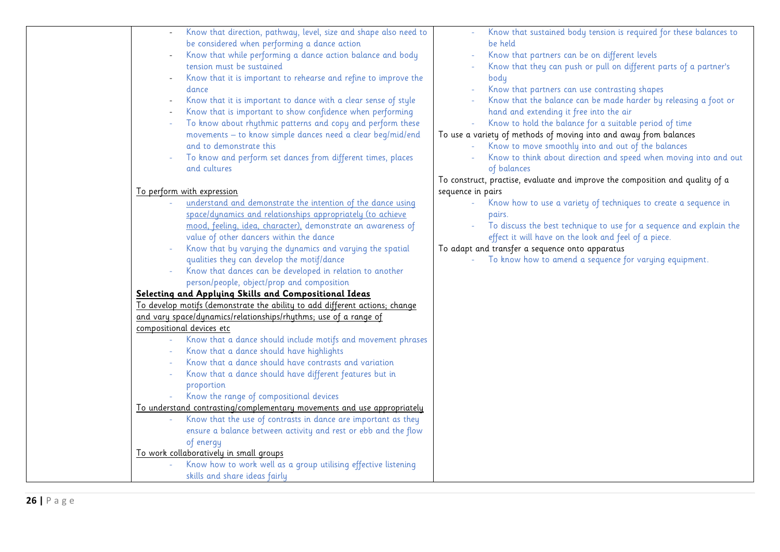| Know that direction, pathway, level, size and shape also need to            | Know that sustained body tension is required for these balances to            |
|-----------------------------------------------------------------------------|-------------------------------------------------------------------------------|
| be considered when performing a dance action                                | be held                                                                       |
| Know that while performing a dance action balance and body                  | Know that partners can be on different levels                                 |
| tension must be sustained                                                   | Know that they can push or pull on different parts of a partner's             |
| Know that it is important to rehearse and refine to improve the             | body                                                                          |
| dance                                                                       | Know that partners can use contrasting shapes                                 |
| Know that it is important to dance with a clear sense of style              | Know that the balance can be made harder by releasing a foot or               |
| Know that is important to show confidence when performing                   | hand and extending it free into the air                                       |
| To know about rhythmic patterns and copy and perform these                  | Know to hold the balance for a suitable period of time                        |
| movements - to know simple dances need a clear beg/mid/end                  | To use a variety of methods of moving into and away from balances             |
| and to demonstrate this                                                     | Know to move smoothly into and out of the balances                            |
| To know and perform set dances from different times, places                 | Know to think about direction and speed when moving into and out              |
| and cultures                                                                | of balances                                                                   |
|                                                                             | To construct, practise, evaluate and improve the composition and quality of a |
| To perform with expression                                                  | sequence in pairs                                                             |
| understand and demonstrate the intention of the dance using                 | Know how to use a variety of techniques to create a sequence in               |
| space/dynamics and relationships appropriately (to achieve                  | pairs.                                                                        |
| mood, feeling, idea, character), demonstrate an awareness of                | To discuss the best technique to use for a sequence and explain the           |
| value of other dancers within the dance                                     | effect it will have on the look and feel of a piece.                          |
| Know that by varying the dynamics and varying the spatial                   | To adapt and transfer a sequence onto apparatus                               |
| qualities they can develop the motif/dance                                  | To know how to amend a sequence for varying equipment.                        |
| Know that dances can be developed in relation to another                    |                                                                               |
| person/people, object/prop and composition                                  |                                                                               |
| Selecting and Applying Skills and Compositional Ideas                       |                                                                               |
| To develop motifs (demonstrate the ability to add different actions; change |                                                                               |
| and vary space/dynamics/relationships/rhythms; use of a range of            |                                                                               |
| compositional devices etc                                                   |                                                                               |
| Know that a dance should include motifs and movement phrases                |                                                                               |
| Know that a dance should have highlights                                    |                                                                               |
| Know that a dance should have contrasts and variation                       |                                                                               |
| Know that a dance should have different features but in                     |                                                                               |
| proportion                                                                  |                                                                               |
| Know the range of compositional devices                                     |                                                                               |
| To understand contrasting/complementary movements and use appropriately     |                                                                               |
| Know that the use of contrasts in dance are important as they               |                                                                               |
| ensure a balance between activity and rest or ebb and the flow              |                                                                               |
| of energy                                                                   |                                                                               |
| To work collaboratively in small groups                                     |                                                                               |
| Know how to work well as a group utilising effective listening              |                                                                               |
| skills and share ideas fairly                                               |                                                                               |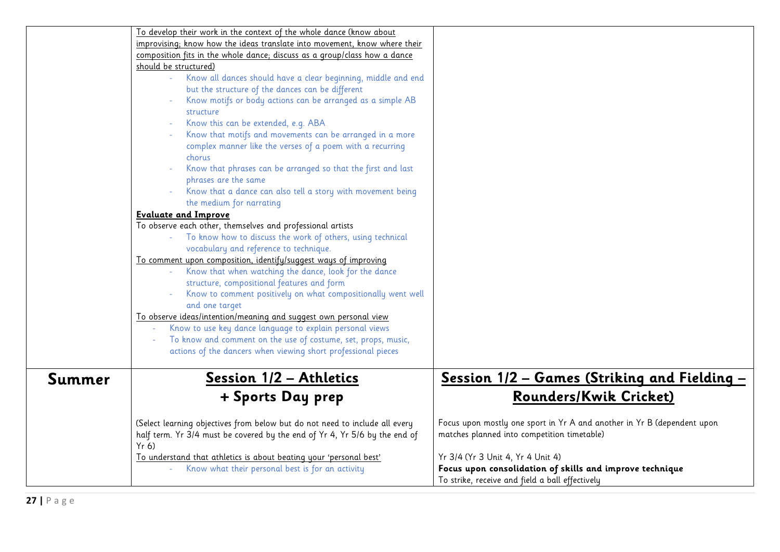|        | To develop their work in the context of the whole dance (know about         |                                                                         |
|--------|-----------------------------------------------------------------------------|-------------------------------------------------------------------------|
|        | improvising; know how the ideas translate into movement, know where their   |                                                                         |
|        | composition fits in the whole dance; discuss as a group/class how a dance   |                                                                         |
|        | should be structured)                                                       |                                                                         |
|        | Know all dances should have a clear beginning, middle and end               |                                                                         |
|        | but the structure of the dances can be different                            |                                                                         |
|        | Know motifs or body actions can be arranged as a simple AB                  |                                                                         |
|        | structure                                                                   |                                                                         |
|        | Know this can be extended, e.g. ABA                                         |                                                                         |
|        | Know that motifs and movements can be arranged in a more                    |                                                                         |
|        | complex manner like the verses of a poem with a recurring                   |                                                                         |
|        | chorus                                                                      |                                                                         |
|        | Know that phrases can be arranged so that the first and last                |                                                                         |
|        | phrases are the same                                                        |                                                                         |
|        | Know that a dance can also tell a story with movement being                 |                                                                         |
|        | the medium for narrating                                                    |                                                                         |
|        | <b>Evaluate and Improve</b>                                                 |                                                                         |
|        | To observe each other, themselves and professional artists                  |                                                                         |
|        | To know how to discuss the work of others, using technical                  |                                                                         |
|        | vocabulary and reference to technique.                                      |                                                                         |
|        | To comment upon composition, identify/suggest ways of improving             |                                                                         |
|        | Know that when watching the dance, look for the dance                       |                                                                         |
|        | structure, compositional features and form                                  |                                                                         |
|        | Know to comment positively on what compositionally went well                |                                                                         |
|        | and one target                                                              |                                                                         |
|        | To observe ideas/intention/meaning and suggest own personal view            |                                                                         |
|        | Know to use key dance language to explain personal views                    |                                                                         |
|        | To know and comment on the use of costume, set, props, music,               |                                                                         |
|        | actions of the dancers when viewing short professional pieces               |                                                                         |
|        |                                                                             |                                                                         |
| Summer | <u> Session 1/2 - Athletics</u>                                             | <u> Session 1/2 – Games (Striking and Fielding – </u>                   |
|        |                                                                             |                                                                         |
|        | + Sports Day prep                                                           | <b>Rounders/Kwik Cricket)</b>                                           |
|        |                                                                             |                                                                         |
|        | (Select learning objectives from below but do not need to include all every | Focus upon mostly one sport in Yr A and another in Yr B (dependent upon |
|        | half term. Yr 3/4 must be covered by the end of Yr 4, Yr 5/6 by the end of  | matches planned into competition timetable)                             |
|        | Yr(6)                                                                       |                                                                         |
|        | To understand that athletics is about beating your 'personal best'          | Yr 3/4 (Yr 3 Unit 4, Yr 4 Unit 4)                                       |
|        | Know what their personal best is for an activity                            | Focus upon consolidation of skills and improve technique                |
|        |                                                                             | To strike, receive and field a ball effectively                         |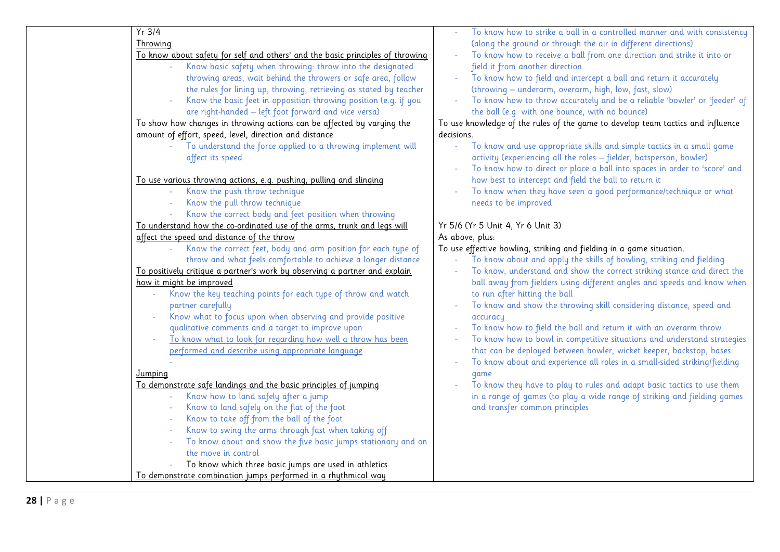| $Yr$ 3/4                                                                                          | To know how to strike a ball in a controlled manner and with consistency           |
|---------------------------------------------------------------------------------------------------|------------------------------------------------------------------------------------|
| Throwing                                                                                          | (along the ground or through the air in different directions)                      |
| To know about safety for self and others' and the basic principles of throwing                    | To know how to receive a ball from one direction and strike it into or<br>$\omega$ |
| Know basic safety when throwing: throw into the designated                                        | field it from another direction                                                    |
| throwing areas, wait behind the throwers or safe area, follow                                     | To know how to field and intercept a ball and return it accurately                 |
| the rules for lining up, throwing, retrieving as stated by teacher                                | (throwing - underarm, overarm, high, low, fast, slow)                              |
| Know the basic feet in opposition throwing position (e.g. if you                                  | To know how to throw accurately and be a reliable 'bowler' or 'feeder' of          |
| are right-handed - left foot forward and vice versa)                                              | the ball (e.g. with one bounce, with no bounce)                                    |
| To show how changes in throwing actions can be affected by varying the                            | To use knowledge of the rules of the game to develop team tactics and influence    |
| amount of effort, speed, level, direction and distance                                            | decisions.                                                                         |
| To understand the force applied to a throwing implement will                                      | To know and use appropriate skills and simple tactics in a small game<br>L,        |
| affect its speed                                                                                  | activity (experiencing all the roles - fielder, batsperson, bowler)                |
|                                                                                                   | To know how to direct or place a ball into spaces in order to 'score' and          |
| To use various throwing actions, e.g. pushing, pulling and slinging                               | how best to intercept and field the ball to return it                              |
| Know the push throw technique                                                                     | To know when they have seen a good performance/technique or what                   |
| Know the pull throw technique<br>÷,                                                               | needs to be improved                                                               |
| Know the correct body and feet position when throwing                                             |                                                                                    |
| To understand how the co-ordinated use of the arms, trunk and legs will                           | Yr 5/6 (Yr 5 Unit 4, Yr 6 Unit 3)                                                  |
| affect the speed and distance of the throw                                                        | As above, plus:                                                                    |
| Know the correct feet, body and arm position for each type of                                     | To use effective bowling, striking and fielding in a game situation.               |
| throw and what feels comfortable to achieve a longer distance                                     | To know about and apply the skills of bowling, striking and fielding               |
| To positively critique a partner's work by observing a partner and explain                        | To know, understand and show the correct striking stance and direct the            |
| how it might be improved                                                                          | ball away from fielders using different angles and speeds and know when            |
| Know the key teaching points for each type of throw and watch                                     | to run after hitting the ball                                                      |
| partner carefully                                                                                 | To know and show the throwing skill considering distance, speed and                |
| Know what to focus upon when observing and provide positive                                       | accuracy                                                                           |
| qualitative comments and a target to improve upon                                                 | To know how to field the ball and return it with an overarm throw                  |
| To know what to look for regarding how well a throw has been                                      | To know how to bowl in competitive situations and understand strategies            |
| performed and describe using appropriate language                                                 | that can be deployed between bowler, wicket keeper, backstop, bases.               |
|                                                                                                   | To know about and experience all roles in a small-sided striking/fielding          |
| Jumping                                                                                           | qame                                                                               |
| To demonstrate safe landings and the basic principles of jumping                                  | To know they have to play to rules and adapt basic tactics to use them             |
| Know how to land safely after a jump<br>$\equiv$                                                  | in a range of games (to play a wide range of striking and fielding games           |
| Know to land safely on the flat of the foot                                                       | and transfer common principles                                                     |
| Know to take off from the ball of the foot<br>Know to swing the arms through fast when taking off |                                                                                    |
| To know about and show the five basic jumps stationary and on                                     |                                                                                    |
| the move in control                                                                               |                                                                                    |
| To know which three basic jumps are used in athletics                                             |                                                                                    |
| To demonstrate combination jumps performed in a rhythmical way                                    |                                                                                    |
|                                                                                                   |                                                                                    |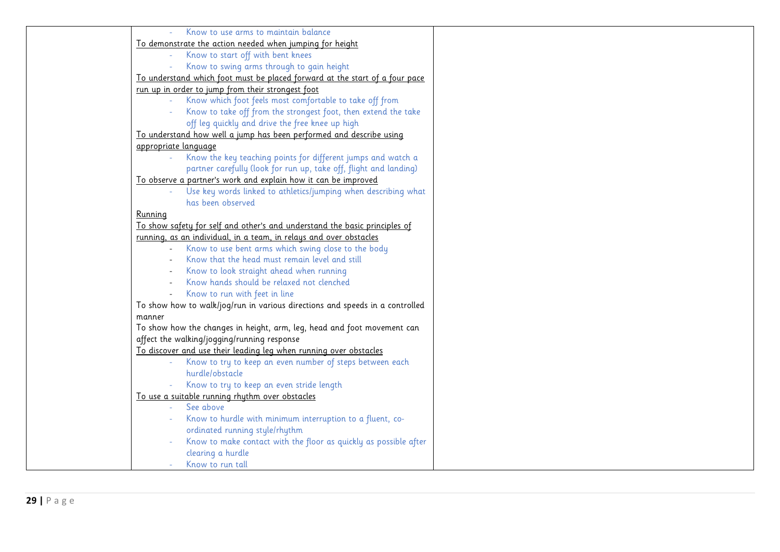| Know to use arms to maintain balance                                                                                   |  |
|------------------------------------------------------------------------------------------------------------------------|--|
| To demonstrate the action needed when jumping for height                                                               |  |
| Know to start off with bent knees                                                                                      |  |
| Know to swing arms through to gain height                                                                              |  |
| To understand which foot must be placed forward at the start of a four pace                                            |  |
| run up in order to jump from their strongest foot                                                                      |  |
| Know which foot feels most comfortable to take off from                                                                |  |
| Know to take off from the strongest foot, then extend the take                                                         |  |
| off leg quickly and drive the free knee up high                                                                        |  |
| To understand how well a jump has been performed and describe using                                                    |  |
| appropriate language                                                                                                   |  |
| Know the key teaching points for different jumps and watch a                                                           |  |
| partner carefully (look for run up, take off, flight and landing)                                                      |  |
| To observe a partner's work and explain how it can be improved                                                         |  |
| Use key words linked to athletics/jumping when describing what                                                         |  |
| has been observed                                                                                                      |  |
| Running                                                                                                                |  |
| To show safety for self and other's and understand the basic principles of                                             |  |
| running, as an individual, in a team, in relays and over obstacles                                                     |  |
| Know to use bent arms which swing close to the body                                                                    |  |
| Know that the head must remain level and still                                                                         |  |
| Know to look straight ahead when running                                                                               |  |
| Know hands should be relaxed not clenched                                                                              |  |
| Know to run with feet in line                                                                                          |  |
| To show how to walk/jog/run in various directions and speeds in a controlled                                           |  |
|                                                                                                                        |  |
| manner                                                                                                                 |  |
| To show how the changes in height, arm, leg, head and foot movement can<br>affect the walking/jogging/running response |  |
|                                                                                                                        |  |
| To discover and use their leading leg when running over obstacles                                                      |  |
| Know to try to keep an even number of steps between each<br>hurdle/obstacle                                            |  |
|                                                                                                                        |  |
| Know to try to keep an even stride length                                                                              |  |
| To use a suitable running rhythm over obstacles<br>See above                                                           |  |
|                                                                                                                        |  |
| Know to hurdle with minimum interruption to a fluent, co-                                                              |  |
| ordinated running style/rhythm                                                                                         |  |
| Know to make contact with the floor as quickly as possible after                                                       |  |
| clearing a hurdle                                                                                                      |  |
| Know to run tall                                                                                                       |  |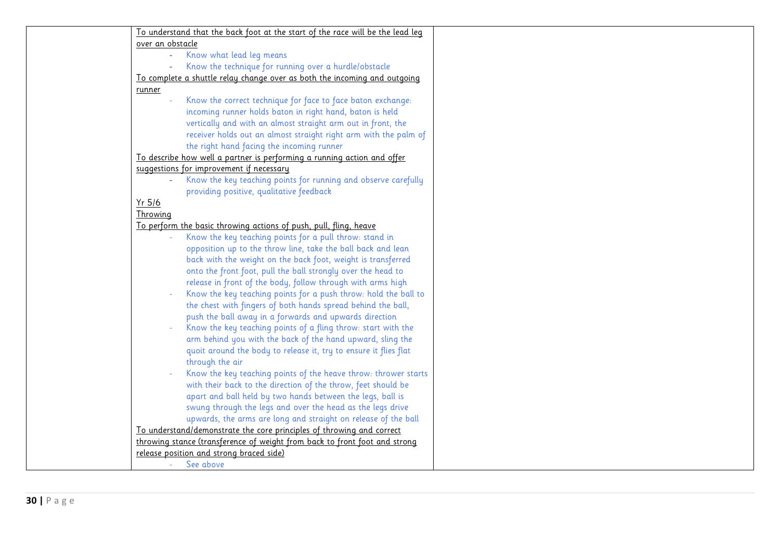| To understand that the back foot at the start of the race will be the lead leg |  |
|--------------------------------------------------------------------------------|--|
| over an obstacle                                                               |  |
| Know what lead leg means<br>$\blacksquare$                                     |  |
| Know the technique for running over a hurdle/obstacle                          |  |
| To complete a shuttle relay change over as both the incoming and outgoing      |  |
| runner                                                                         |  |
| Know the correct technique for face to face baton exchange:                    |  |
| incoming runner holds baton in right hand, baton is held                       |  |
| vertically and with an almost straight arm out in front, the                   |  |
| receiver holds out an almost straight right arm with the palm of               |  |
| the right hand facing the incoming runner                                      |  |
| To describe how well a partner is performing a running action and offer        |  |
| suggestions for improvement if necessary                                       |  |
| Know the key teaching points for running and observe carefully                 |  |
| providing positive, qualitative feedback                                       |  |
| Yr 5/6                                                                         |  |
| Throwing                                                                       |  |
| To perform the basic throwing actions of push, pull, fling, heave              |  |
| Know the key teaching points for a pull throw: stand in                        |  |
|                                                                                |  |
| opposition up to the throw line, take the ball back and lean                   |  |
| back with the weight on the back foot, weight is transferred                   |  |
| onto the front foot, pull the ball strongly over the head to                   |  |
| release in front of the body, follow through with arms high                    |  |
| Know the key teaching points for a push throw: hold the ball to                |  |
| the chest with fingers of both hands spread behind the ball,                   |  |
| push the ball away in a forwards and upwards direction                         |  |
| Know the key teaching points of a fling throw: start with the                  |  |
| arm behind you with the back of the hand upward, sling the                     |  |
| quoit around the body to release it, try to ensure it flies flat               |  |
| through the air                                                                |  |
| Know the key teaching points of the heave throw: thrower starts                |  |
| with their back to the direction of the throw, feet should be                  |  |
| apart and ball held by two hands between the legs, ball is                     |  |
| swung through the legs and over the head as the legs drive                     |  |
| upwards, the arms are long and straight on release of the ball                 |  |
| To understand/demonstrate the core principles of throwing and correct          |  |
| throwing stance (transference of weight from back to front foot and strong     |  |
| release position and strong braced side)                                       |  |
| See above<br>$\mathcal{L}$                                                     |  |
|                                                                                |  |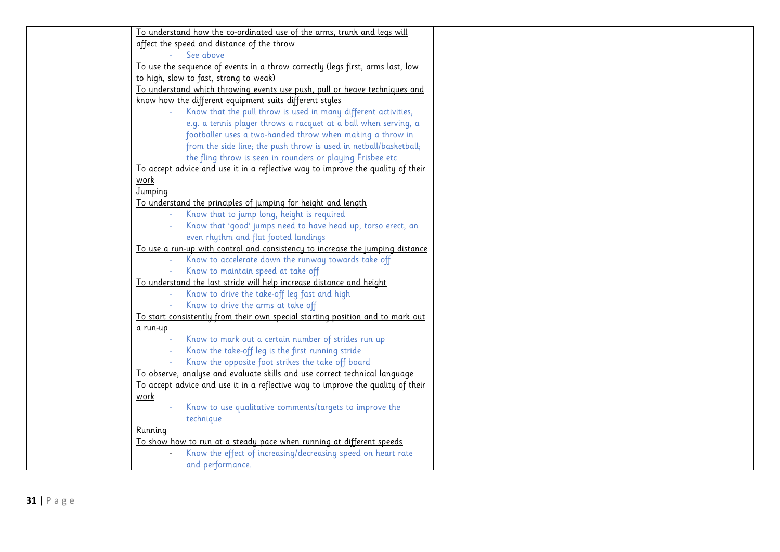| To understand how the co-ordinated use of the arms, trunk and legs will         |  |
|---------------------------------------------------------------------------------|--|
| affect the speed and distance of the throw                                      |  |
| See above                                                                       |  |
| To use the sequence of events in a throw correctly (legs first, arms last, low  |  |
| to high, slow to fast, strong to weak)                                          |  |
| To understand which throwing events use push, pull or heave techniques and      |  |
| know how the different equipment suits different styles                         |  |
| Know that the pull throw is used in many different activities,                  |  |
| e.g. a tennis player throws a racquet at a ball when serving, a                 |  |
| footballer uses a two-handed throw when making a throw in                       |  |
| from the side line; the push throw is used in netball/basketball;               |  |
| the fling throw is seen in rounders or playing Frisbee etc                      |  |
| To accept advice and use it in a reflective way to improve the quality of their |  |
| work                                                                            |  |
| Jumping                                                                         |  |
| To understand the principles of jumping for height and length                   |  |
| Know that to jump long, height is required                                      |  |
| Know that 'good' jumps need to have head up, torso erect, an                    |  |
| even rhythm and flat footed landings                                            |  |
| To use a run-up with control and consistency to increase the jumping distance   |  |
| Know to accelerate down the runway towards take off                             |  |
| Know to maintain speed at take off                                              |  |
| To understand the last stride will help increase distance and height            |  |
| Know to drive the take-off leg fast and high                                    |  |
| Know to drive the arms at take off                                              |  |
| To start consistently from their own special starting position and to mark out  |  |
| a run-up                                                                        |  |
| Know to mark out a certain number of strides run up                             |  |
| Know the take-off leg is the first running stride                               |  |
| Know the opposite foot strikes the take off board                               |  |
| To observe, analyse and evaluate skills and use correct technical language      |  |
| To accept advice and use it in a reflective way to improve the quality of their |  |
| work                                                                            |  |
| Know to use qualitative comments/targets to improve the                         |  |
| technique                                                                       |  |
| Running                                                                         |  |
| To show how to run at a steady pace when running at different speeds            |  |
| Know the effect of increasing/decreasing speed on heart rate                    |  |
| and performance.                                                                |  |